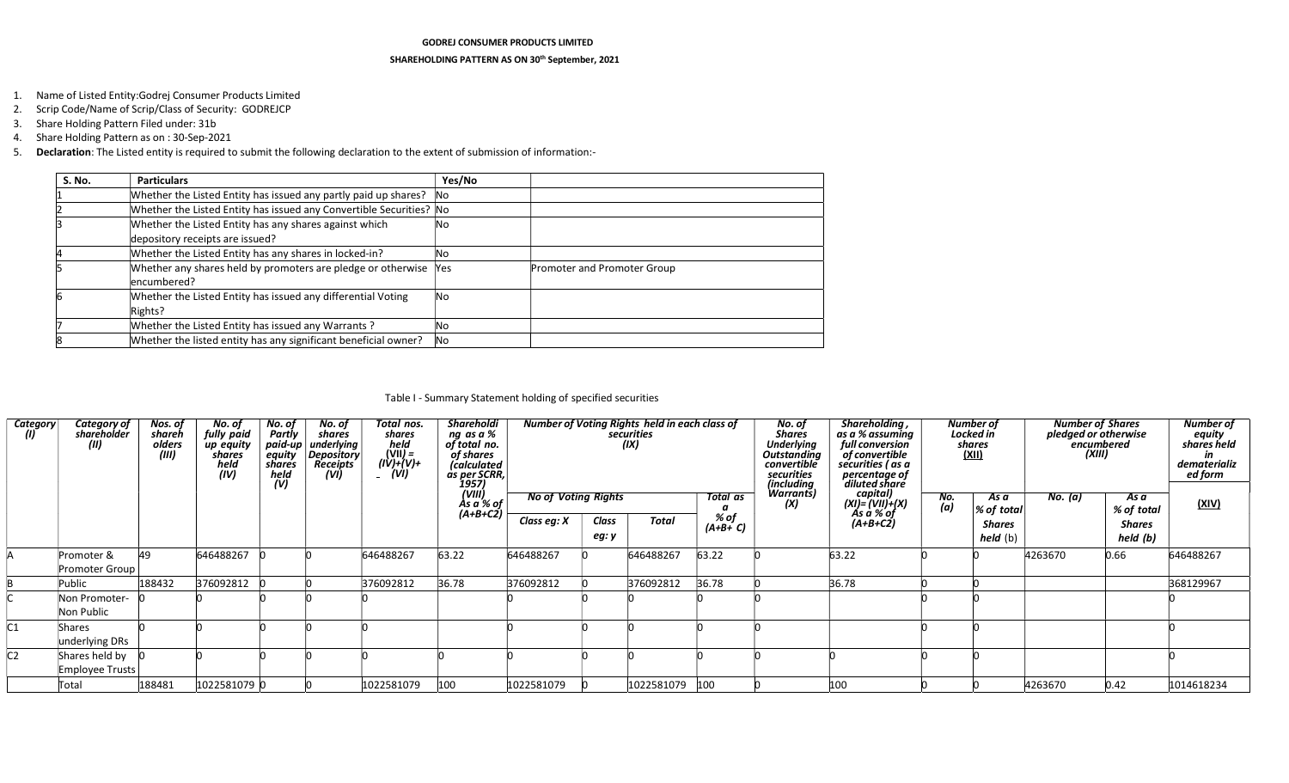#### GODREJ CONSUMER PRODUCTS LIMITED

#### SHAREHOLDING PATTERN AS ON 30<sup>th</sup> September, 2021

- 1. Name of Listed Entity:Godrej Consumer Products Limited
- 2. Scrip Code/Name of Scrip/Class of Security: GODREJCP
- 3. Share Holding Pattern Filed under: 31b
- 4. Share Holding Pattern as on : 30-Sep-2021
- 5. Declaration: The Listed entity is required to submit the following declaration to the extent of submission of information:-

| S. No. | <b>Particulars</b>                                                           | Yes/No     |                             |
|--------|------------------------------------------------------------------------------|------------|-----------------------------|
|        | Whether the Listed Entity has issued any partly paid up shares?              | <b>No</b>  |                             |
|        | Whether the Listed Entity has issued any Convertible Securities? No          |            |                             |
|        | Whether the Listed Entity has any shares against which                       | lNo        |                             |
|        | depository receipts are issued?                                              |            |                             |
|        | Whether the Listed Entity has any shares in locked-in?                       | No         |                             |
|        | Whether any shares held by promoters are pledge or otherwise<br>lencumbered? | <b>Yes</b> | Promoter and Promoter Group |
|        | Whether the Listed Entity has issued any differential Voting<br>Rights?      | lNo        |                             |
|        | Whether the Listed Entity has issued any Warrants?                           | Νo         |                             |
|        | Whether the listed entity has any significant beneficial owner?              | <b>No</b>  |                             |

## Table I - Summary Statement holding of specified securities

| Category<br>W | Category of<br>sharëholder        | Nos. of<br>shareh<br>olders<br>(iii) | No. of<br>fully paid<br>up equity<br>shares<br>held<br>(IV) | No. of<br>Partly<br>$p$ aid-up<br>equity<br>shares<br>held<br>(V) | No. of<br>shares<br>underlying<br>Depository<br><b>Receipts</b><br>(VI) | Total nos.<br>shares<br>held<br>(VII) =<br>(IV)+(V)+<br>(VI) | <b>Shareholdi</b><br>ng as a %<br>of total no.<br>of shares<br><i>(calculated</i><br>as per SCRR, |             |                            | Number of Voting Rights held in each class of<br>securities<br>(IX) |                  | No. of<br><b>Shares</b><br><b>Underlying</b><br><b>Outstanding</b><br>convertible<br>securities<br>(including | Shareholding,<br>as a % assuming<br>full conversion<br>of convertible<br>securities (as a<br>percentage of<br>diluted share |            | <b>Number of</b><br>Locked in<br>shares<br><u>(XII)</u> | <b>Number of Shares</b><br>pledged or otherwise<br>encumbered<br>(XIII) |                    | <b>Number of</b><br>equity<br>shares held<br>dematerializ<br>ed form |
|---------------|-----------------------------------|--------------------------------------|-------------------------------------------------------------|-------------------------------------------------------------------|-------------------------------------------------------------------------|--------------------------------------------------------------|---------------------------------------------------------------------------------------------------|-------------|----------------------------|---------------------------------------------------------------------|------------------|---------------------------------------------------------------------------------------------------------------|-----------------------------------------------------------------------------------------------------------------------------|------------|---------------------------------------------------------|-------------------------------------------------------------------------|--------------------|----------------------------------------------------------------------|
|               |                                   |                                      |                                                             |                                                                   |                                                                         |                                                              | 1957)<br>(VIII)<br>Às a % of<br>(A+B+C2)                                                          |             | <b>No of Voting Rights</b> |                                                                     | Total as<br>α    | Warrants)<br>(X)                                                                                              | capital)<br>(XI)= (VII)+(X)<br>As a % of                                                                                    | No.<br>(a) | As a<br>% of total                                      | No. (a)                                                                 | As a<br>% of total | (XIV)                                                                |
|               |                                   |                                      |                                                             |                                                                   |                                                                         |                                                              |                                                                                                   | Class eg: X | Class                      | <b>Total</b>                                                        | % of<br>(A+B+ C) |                                                                                                               | $(A+B+C2)$                                                                                                                  |            | <b>Shares</b>                                           |                                                                         | <b>Shares</b>      |                                                                      |
|               |                                   |                                      |                                                             |                                                                   |                                                                         |                                                              |                                                                                                   |             | eg: y                      |                                                                     |                  |                                                                                                               |                                                                                                                             |            | held (b)                                                |                                                                         | held (b)           |                                                                      |
|               | Promoter &<br>Promoter Group      | 49                                   | 646488267                                                   |                                                                   |                                                                         | 646488267                                                    | 63.22                                                                                             | 646488267   |                            | 646488267                                                           | 63.22            |                                                                                                               | 63.22                                                                                                                       |            |                                                         | 4263670                                                                 | 0.66               | 646488267                                                            |
|               |                                   |                                      |                                                             |                                                                   |                                                                         |                                                              |                                                                                                   |             |                            |                                                                     |                  |                                                                                                               |                                                                                                                             |            |                                                         |                                                                         |                    |                                                                      |
|               | Public                            | 188432                               | 376092812                                                   |                                                                   |                                                                         | 376092812                                                    | 36.78                                                                                             | 376092812   |                            | 376092812                                                           | 36.78            |                                                                                                               | 36.78                                                                                                                       |            |                                                         |                                                                         |                    | 368129967                                                            |
|               | Non Promoter-<br>Non Public       |                                      |                                                             |                                                                   |                                                                         |                                                              |                                                                                                   |             |                            |                                                                     |                  |                                                                                                               |                                                                                                                             |            |                                                         |                                                                         |                    |                                                                      |
|               | Shares<br>underlying DRs          |                                      |                                                             |                                                                   |                                                                         |                                                              |                                                                                                   |             |                            |                                                                     |                  |                                                                                                               |                                                                                                                             |            |                                                         |                                                                         |                    |                                                                      |
|               | Shares held by<br>Employee Trusts |                                      |                                                             |                                                                   |                                                                         |                                                              |                                                                                                   |             |                            |                                                                     |                  |                                                                                                               |                                                                                                                             |            |                                                         |                                                                         |                    |                                                                      |
|               | Total                             | 188481                               | 1022581079 0                                                |                                                                   |                                                                         | 1022581079                                                   | 100                                                                                               | 1022581079  |                            | 1022581079 100                                                      |                  |                                                                                                               | 100                                                                                                                         |            |                                                         | 4263670                                                                 | 0.42               | 1014618234                                                           |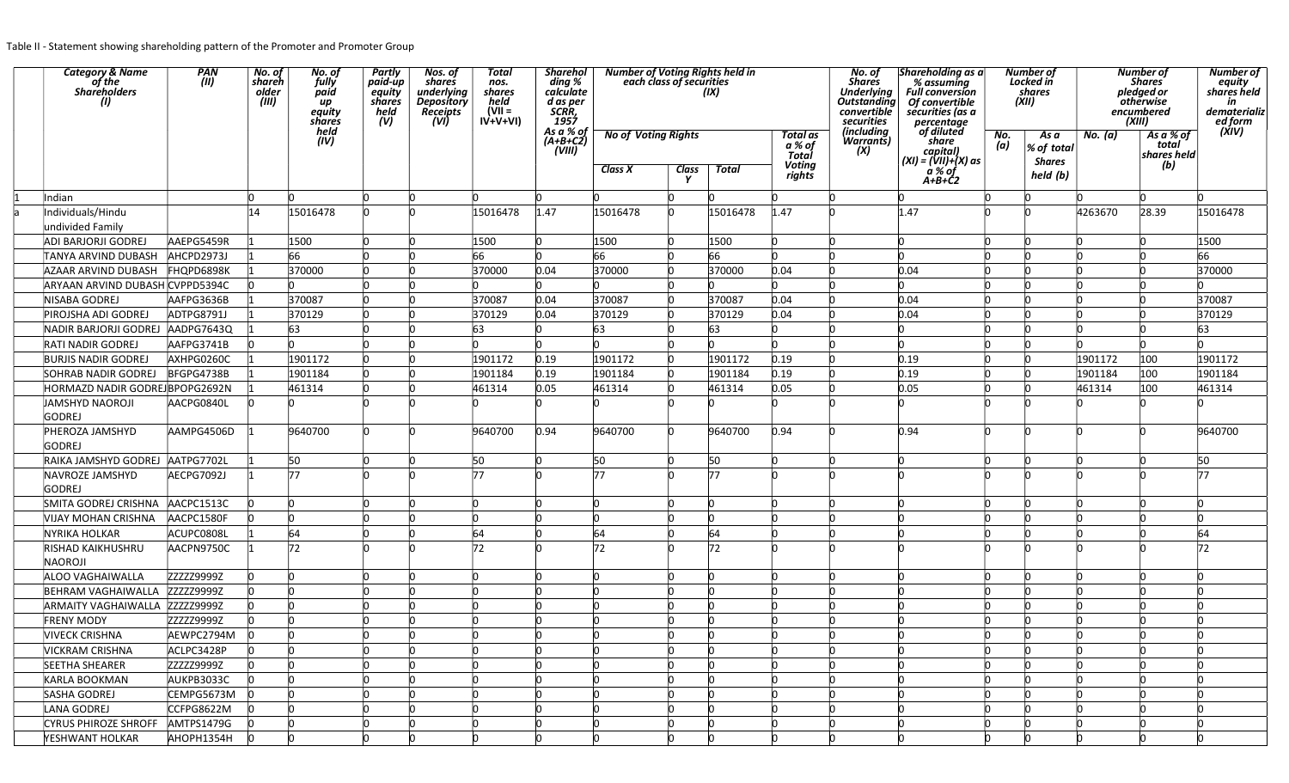Table II - Statement showing shareholding pattern of the Promoter and Promoter Group

| Category & Name<br>of the<br>Shareholders<br>(1) | PAN<br>(II) | No. of<br>shareh<br>older<br>(III) | No. of<br>fully<br>paid<br>иp<br>equity<br>shares | Partly<br>paid-up<br>equity -<br>shares<br>held<br>(V) | Nos. of<br>shares<br>underlying<br>Depository<br><b>Receipts</b><br>(VI) | Total<br>nos.<br>shares<br>held<br>(VII =<br>$I\overrightarrow{V+V+VI}$ | <b>Sharehol</b><br>ding %<br>calculate<br>d as per<br>SCRR,<br>1957<br>As a % of | Number of Voting Rights held in<br>each class of securities |              | (IX)         |                                    | No. of<br><b>Shares</b><br>Underlying<br>Outstanding<br>convertible<br>securities | Shareholding as a<br>% assuming<br><b>Full conversion</b><br>Of convertible<br>securities (as a<br>percentage<br>of diluted |            | <b>Number of</b><br>Locked in<br>shares<br>(XII) |          | <b>Number of</b><br><b>Shares</b><br>pledged or<br><b>otherwise</b><br>encumbered<br>(XIII) | Number of<br>equity<br>shares held<br>in<br>dematerializ<br>ed form<br>(XIV) |
|--------------------------------------------------|-------------|------------------------------------|---------------------------------------------------|--------------------------------------------------------|--------------------------------------------------------------------------|-------------------------------------------------------------------------|----------------------------------------------------------------------------------|-------------------------------------------------------------|--------------|--------------|------------------------------------|-----------------------------------------------------------------------------------|-----------------------------------------------------------------------------------------------------------------------------|------------|--------------------------------------------------|----------|---------------------------------------------------------------------------------------------|------------------------------------------------------------------------------|
|                                                  |             |                                    | held<br>(IV)                                      |                                                        |                                                                          |                                                                         | $(A+B+C2)$<br>(VIII)                                                             | <b>No of Voting Rights</b>                                  |              |              | <b>Total</b> as<br>a % of<br>Total | (including <sub>.</sub><br>Warrants)<br>(X)                                       | share<br>capital)<br>(XI) = (VII)+(X) as                                                                                    | No.<br>(a) | As a<br>% of total<br><b>Shares</b>              | No. (a)  | As a % of<br>total<br>shares held                                                           |                                                                              |
|                                                  |             |                                    |                                                   |                                                        |                                                                          |                                                                         |                                                                                  | <b>Class X</b>                                              | <b>Class</b> | <b>Total</b> | <b>Voting</b><br>rights            |                                                                                   | a % of<br>$A+B+C2$                                                                                                          |            | held (b)                                         |          | (b)                                                                                         |                                                                              |
| Indian                                           |             | In                                 |                                                   |                                                        | n                                                                        | n                                                                       | ln.                                                                              |                                                             |              |              |                                    |                                                                                   |                                                                                                                             |            | n                                                | 'n       |                                                                                             |                                                                              |
| Individuals/Hindu                                |             | 14                                 | 15016478                                          |                                                        |                                                                          | 15016478                                                                | 1.47                                                                             | 15016478                                                    |              | 15016478     | 1.47                               |                                                                                   | 1.47                                                                                                                        |            | 'n                                               | 4263670  | 28.39                                                                                       | 15016478                                                                     |
| undivided Family                                 |             |                                    |                                                   |                                                        |                                                                          |                                                                         |                                                                                  |                                                             |              |              |                                    |                                                                                   |                                                                                                                             |            |                                                  |          |                                                                                             |                                                                              |
| <b>ADI BARJORJI GODREJ</b>                       | AAEPG5459R  |                                    | 1500                                              |                                                        |                                                                          | 1500                                                                    | <b>n</b>                                                                         | 1500                                                        |              | 1500         |                                    |                                                                                   |                                                                                                                             |            | n                                                |          |                                                                                             | 1500                                                                         |
| TANYA ARVIND DUBASH                              | AHCPD2973J  |                                    | 66                                                |                                                        |                                                                          | 66                                                                      |                                                                                  | 66                                                          |              | 66           |                                    |                                                                                   |                                                                                                                             |            |                                                  |          |                                                                                             | 66                                                                           |
| AZAAR ARVIND DUBASH                              | FHQPD6898K  |                                    | 370000                                            |                                                        |                                                                          | 370000                                                                  | 0.04                                                                             | 370000                                                      |              | 370000       | 0.04                               |                                                                                   | 0.04                                                                                                                        |            |                                                  |          |                                                                                             | 370000                                                                       |
| ARYAAN ARVIND DUBASH CVPPD5394C                  |             |                                    |                                                   |                                                        |                                                                          |                                                                         |                                                                                  |                                                             |              |              |                                    |                                                                                   |                                                                                                                             |            |                                                  |          |                                                                                             |                                                                              |
| NISABA GODREJ                                    | AAFPG3636B  |                                    | 370087                                            |                                                        |                                                                          | 370087                                                                  | 0.04                                                                             | 370087                                                      |              | 370087       | 0.04                               |                                                                                   | 0.04                                                                                                                        |            |                                                  |          |                                                                                             | 370087                                                                       |
| PIROJSHA ADI GODREJ                              | ADTPG8791J  |                                    | 370129                                            |                                                        |                                                                          | 370129                                                                  | 0.04                                                                             | 370129                                                      |              | 370129       | 0.04                               |                                                                                   | 0.04                                                                                                                        |            |                                                  |          |                                                                                             | 370129                                                                       |
| NADIR BARJORJI GODREJ                            | AADPG7643Q  |                                    | 63                                                |                                                        |                                                                          | 63                                                                      |                                                                                  | 63                                                          |              | 63           |                                    |                                                                                   |                                                                                                                             |            |                                                  | <b>n</b> |                                                                                             | 63                                                                           |
| <b>RATI NADIR GODREJ</b>                         | AAFPG3741B  |                                    |                                                   |                                                        |                                                                          | 'n                                                                      |                                                                                  |                                                             |              |              |                                    |                                                                                   |                                                                                                                             |            |                                                  |          |                                                                                             |                                                                              |
| <b>BURJIS NADIR GODREJ</b>                       | AXHPG0260C  |                                    | 1901172                                           |                                                        |                                                                          | 1901172                                                                 | 0.19                                                                             | 1901172                                                     |              | 1901172      | 0.19                               |                                                                                   | 0.19                                                                                                                        |            |                                                  | 1901172  | 100                                                                                         | 1901172                                                                      |
| <b>SOHRAB NADIR GODREJ</b>                       | BFGPG4738B  |                                    | 1901184                                           |                                                        |                                                                          | 1901184                                                                 | 0.19                                                                             | 1901184                                                     |              | 1901184      | 0.19                               |                                                                                   | 0.19                                                                                                                        |            |                                                  | 1901184  | 100                                                                                         | 1901184                                                                      |
| HORMAZD NADIR GODREJ BPOPG2692N                  |             |                                    | 461314                                            |                                                        |                                                                          | 461314                                                                  | 0.05                                                                             | 461314                                                      |              | 461314       | 0.05                               |                                                                                   | 0.05                                                                                                                        |            |                                                  | 461314   | 100                                                                                         | 461314                                                                       |
| JAMSHYD NAOROJI<br><b>GODREJ</b>                 | AACPG0840L  |                                    |                                                   |                                                        |                                                                          |                                                                         |                                                                                  |                                                             |              |              |                                    |                                                                                   |                                                                                                                             |            |                                                  |          |                                                                                             |                                                                              |
| PHEROZA JAMSHYD<br><b>GODREJ</b>                 | AAMPG4506D  |                                    | 9640700                                           |                                                        |                                                                          | 9640700                                                                 | 0.94                                                                             | 9640700                                                     |              | 9640700      | 0.94                               |                                                                                   | 0.94                                                                                                                        |            |                                                  |          |                                                                                             | 9640700                                                                      |
| RAIKA JAMSHYD GODREJ AATPG7702L                  |             |                                    | 50                                                |                                                        |                                                                          | 50                                                                      |                                                                                  | 50                                                          |              | 50           |                                    |                                                                                   |                                                                                                                             |            |                                                  | n        |                                                                                             | 50                                                                           |
| NAVROZE JAMSHYD<br><b>GODREJ</b>                 | AECPG7092J  |                                    | 77                                                |                                                        |                                                                          | 77                                                                      |                                                                                  | 77                                                          |              | 77           |                                    |                                                                                   |                                                                                                                             |            |                                                  |          |                                                                                             | 77                                                                           |
| SMITA GODREJ CRISHNA                             | AACPC1513C  |                                    | IO                                                |                                                        |                                                                          | n                                                                       |                                                                                  | n                                                           |              |              |                                    |                                                                                   |                                                                                                                             |            | n                                                |          |                                                                                             |                                                                              |
| VIJAY MOHAN CRISHNA                              | AACPC1580F  |                                    | l0                                                |                                                        |                                                                          | n                                                                       |                                                                                  | <b>n</b>                                                    |              |              |                                    |                                                                                   |                                                                                                                             |            |                                                  |          |                                                                                             |                                                                              |
| <b>NYRIKA HOLKAR</b>                             | ACUPC0808L  |                                    | 64                                                |                                                        |                                                                          | 64                                                                      |                                                                                  | 64                                                          |              | 64           |                                    |                                                                                   |                                                                                                                             |            |                                                  |          |                                                                                             | 64                                                                           |
| RISHAD KAIKHUSHRU<br>NAOROJI                     | AACPN9750C  |                                    | 72                                                |                                                        |                                                                          | 72                                                                      |                                                                                  | 72                                                          |              | 72           |                                    |                                                                                   |                                                                                                                             |            |                                                  |          |                                                                                             | 72                                                                           |
| ALOO VAGHAIWALLA                                 | ZZZZZ9999Z  |                                    | 'n                                                |                                                        |                                                                          |                                                                         |                                                                                  |                                                             |              |              |                                    |                                                                                   |                                                                                                                             |            | n                                                |          |                                                                                             |                                                                              |
| <b>BEHRAM VAGHAIWALLA</b>                        | ZZZZZ9999Z  |                                    | 'n                                                |                                                        |                                                                          |                                                                         |                                                                                  |                                                             |              |              |                                    |                                                                                   |                                                                                                                             |            |                                                  | <b>n</b> |                                                                                             |                                                                              |
| <b>ARMAITY VAGHAIWALLA</b>                       | ZZZZZ9999Z  |                                    |                                                   |                                                        |                                                                          |                                                                         |                                                                                  |                                                             |              |              |                                    |                                                                                   |                                                                                                                             |            |                                                  |          |                                                                                             |                                                                              |
| <b>FRENY MODY</b>                                | ZZZZZ9999Z  |                                    |                                                   |                                                        |                                                                          | 'n                                                                      |                                                                                  | 'n                                                          |              | 'n           |                                    |                                                                                   |                                                                                                                             |            | n                                                | <b>n</b> |                                                                                             |                                                                              |
| <b>VIVECK CRISHNA</b>                            | AEWPC2794M  | -lo                                | <b>n</b>                                          |                                                        | n.                                                                       | <b>n</b>                                                                | <b>n</b>                                                                         | 'n                                                          |              | <b>n</b>     |                                    |                                                                                   |                                                                                                                             |            | <b>n</b>                                         | <b>n</b> |                                                                                             |                                                                              |
| <b>VICKRAM CRISHNA</b>                           | ACLPC3428P  | l0                                 | lo.                                               | 'n                                                     | n                                                                        | In.                                                                     | <b>n</b>                                                                         | <b>n</b>                                                    |              | <b>n</b>     | n                                  |                                                                                   | 'n                                                                                                                          |            | <b>n</b>                                         | <b>n</b> |                                                                                             | n                                                                            |
| SEETHA SHEARER                                   | ZZZZZ9999Z  |                                    | $\mathbf{0}$                                      |                                                        | IN.                                                                      | n                                                                       |                                                                                  | $\Omega$                                                    |              |              |                                    |                                                                                   |                                                                                                                             |            | In.                                              | l0       |                                                                                             | n                                                                            |
| <b>KARLA BOOKMAN</b>                             | AUKPB3033C  |                                    | lo.                                               |                                                        | In.                                                                      | n                                                                       |                                                                                  | <b>n</b>                                                    |              | <b>n</b>     |                                    |                                                                                   |                                                                                                                             |            | In.                                              | l0       |                                                                                             | n                                                                            |
| SASHA GODREJ                                     | CEMPG5673M  |                                    | <b>n</b>                                          |                                                        |                                                                          |                                                                         |                                                                                  | <b>n</b>                                                    |              |              |                                    |                                                                                   |                                                                                                                             |            | h                                                | In       |                                                                                             |                                                                              |
| LANA GODREJ                                      | CCFPG8622M  | m                                  | <b>n</b>                                          |                                                        | IN.                                                                      | n                                                                       |                                                                                  | <b>n</b>                                                    |              |              |                                    |                                                                                   |                                                                                                                             |            | In.                                              | l0       |                                                                                             |                                                                              |
| <b>CYRUS PHIROZE SHROFF</b>                      | AMTPS1479G  |                                    | In                                                |                                                        |                                                                          | n                                                                       |                                                                                  | 'n                                                          |              |              |                                    |                                                                                   |                                                                                                                             |            | h                                                | In       |                                                                                             |                                                                              |
| <b>YESHWANT HOLKAR</b>                           | AHOPH1354H  |                                    |                                                   |                                                        |                                                                          |                                                                         |                                                                                  |                                                             |              |              |                                    |                                                                                   |                                                                                                                             |            |                                                  | 'n       |                                                                                             |                                                                              |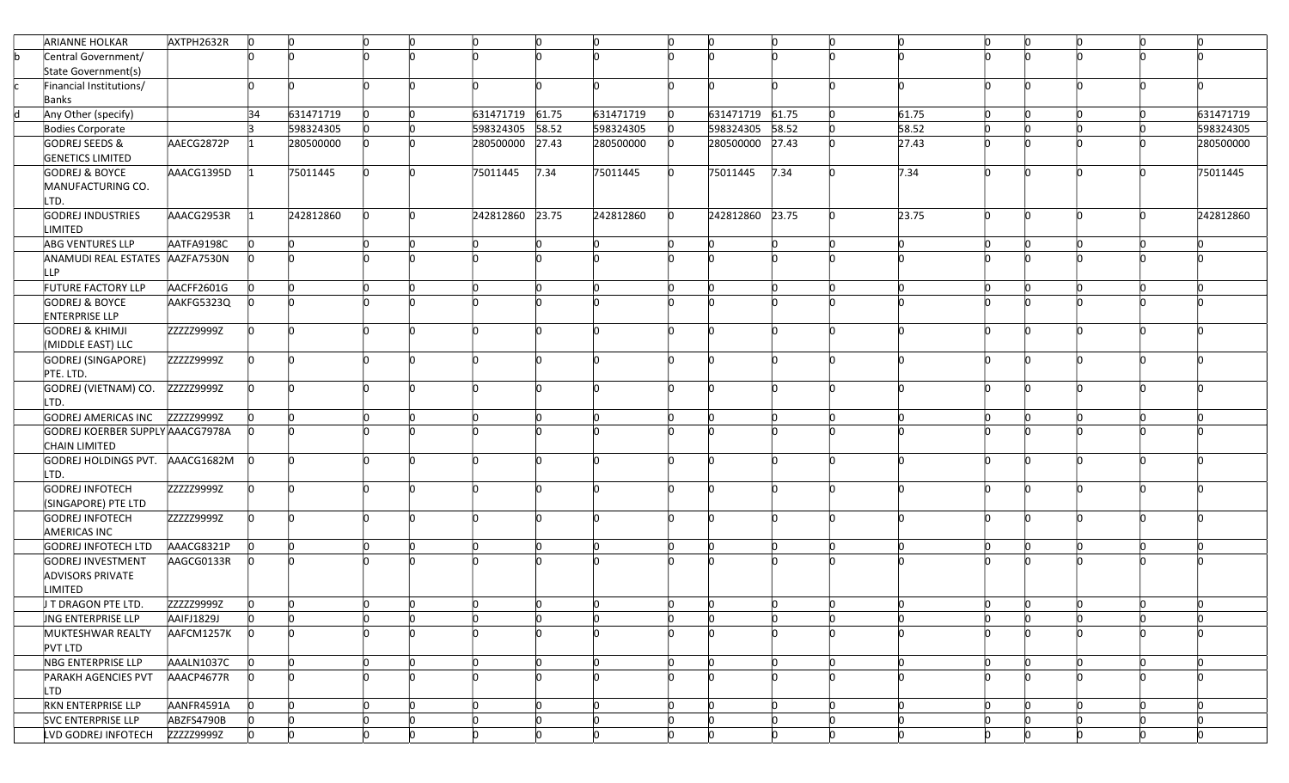| Central Government/<br>State Government(s)<br>Financial Institutions/<br>In<br>In.<br>n<br>n<br>n<br>Banks<br>34<br>631471719 61.75<br>631471719<br>631471719<br>Any Other (specify)<br>631471719<br>631471719<br>61.75<br>61.75<br><b>n</b><br>'n<br>n<br>58.52<br>598324305<br>598324305 58.52<br>598324305<br>58.52<br>598324305<br><b>l</b><br>598324305<br>Bodies Corporate<br><b>n</b><br>27.43<br><b>GODREJ SEEDS &amp;</b><br>AAECG2872P<br>280500000<br>280500000 27.43<br>280500000<br>280500000<br>27.43<br>280500000<br><b>n</b><br>In<br><b>GENETICS LIMITED</b><br>7.34<br>7.34<br><b>GODREJ &amp; BOYCE</b><br>AAACG1395D<br>75011445<br>75011445<br>7.34<br>75011445<br>75011445<br>75011445<br>n<br>MANUFACTURING CO.<br>LTD.<br>242812860 23.75<br><b>GODREJ INDUSTRIES</b><br>AAACG2953R<br>242812860<br>242812860 23.75<br>23.75<br>242812860<br>$\mathsf{I}^{\mathsf{O}}$<br>242812860<br>In.<br><b>O</b><br>n.<br>n<br>LIMITED<br><b>ABG VENTURES LLP</b><br>AATFA9198C<br>'n<br>$\Omega$<br>In<br><b>n</b><br>In.<br>In<br>n<br>ANAMUDI REAL ESTATES AAZFA7530N<br>LLP<br>FUTURE FACTORY LLP<br>AACFF2601G<br><b>lo</b><br>AAKFG5323Q<br><b>GODREJ &amp; BOYCE</b><br><b>ENTERPRISE LLP</b><br>ZZZZZ9999Z<br><b>GODREJ &amp; KHIMJI</b><br>In.<br>'n<br>'n<br><b>n</b><br>In.<br>In.<br>'n<br>'n<br>(MIDDLE EAST) LLC<br>ZZZZZ9999Z<br>GODREJ (SINGAPORE)<br>In.<br>'n<br><b>n</b><br>'n<br>'n<br>n<br>n<br>n<br>n<br>PTE. LTD.<br>GODREJ (VIETNAM) CO.<br>ZZZZZ9999Z<br>In.<br>'n<br>ľ<br>n<br>n<br>LTD.<br>GODREJ AMERICAS INC<br>ZZZZZ9999Z<br>In<br>l0<br>'n<br>n<br>GODREJ KOERBER SUPPLY AAACG7978A<br>CHAIN LIMITED<br>GODREJ HOLDINGS PVT. AAACG1682M<br>n<br>LTD.<br>GODREJ INFOTECH<br>ZZZZZ9999Z<br>In.<br>'n<br>n<br>n<br>(SINGAPORE) PTE LTD<br>ZZZZZ9999Z<br><b>GODREJ INFOTECH</b><br><b>AMERICAS INC</b><br>AAACG8321P<br>GODREJ INFOTECH LTD<br>In<br>ln.<br>'n<br><b>n</b><br>GODREJ INVESTMENT<br>AAGCG0133R |
|--------------------------------------------------------------------------------------------------------------------------------------------------------------------------------------------------------------------------------------------------------------------------------------------------------------------------------------------------------------------------------------------------------------------------------------------------------------------------------------------------------------------------------------------------------------------------------------------------------------------------------------------------------------------------------------------------------------------------------------------------------------------------------------------------------------------------------------------------------------------------------------------------------------------------------------------------------------------------------------------------------------------------------------------------------------------------------------------------------------------------------------------------------------------------------------------------------------------------------------------------------------------------------------------------------------------------------------------------------------------------------------------------------------------------------------------------------------------------------------------------------------------------------------------------------------------------------------------------------------------------------------------------------------------------------------------------------------------------------------------------------------------------------------------------------------------------------------------------------------------------------------------------------------------------------------------------------|
|                                                                                                                                                                                                                                                                                                                                                                                                                                                                                                                                                                                                                                                                                                                                                                                                                                                                                                                                                                                                                                                                                                                                                                                                                                                                                                                                                                                                                                                                                                                                                                                                                                                                                                                                                                                                                                                                                                                                                        |
|                                                                                                                                                                                                                                                                                                                                                                                                                                                                                                                                                                                                                                                                                                                                                                                                                                                                                                                                                                                                                                                                                                                                                                                                                                                                                                                                                                                                                                                                                                                                                                                                                                                                                                                                                                                                                                                                                                                                                        |
|                                                                                                                                                                                                                                                                                                                                                                                                                                                                                                                                                                                                                                                                                                                                                                                                                                                                                                                                                                                                                                                                                                                                                                                                                                                                                                                                                                                                                                                                                                                                                                                                                                                                                                                                                                                                                                                                                                                                                        |
|                                                                                                                                                                                                                                                                                                                                                                                                                                                                                                                                                                                                                                                                                                                                                                                                                                                                                                                                                                                                                                                                                                                                                                                                                                                                                                                                                                                                                                                                                                                                                                                                                                                                                                                                                                                                                                                                                                                                                        |
|                                                                                                                                                                                                                                                                                                                                                                                                                                                                                                                                                                                                                                                                                                                                                                                                                                                                                                                                                                                                                                                                                                                                                                                                                                                                                                                                                                                                                                                                                                                                                                                                                                                                                                                                                                                                                                                                                                                                                        |
|                                                                                                                                                                                                                                                                                                                                                                                                                                                                                                                                                                                                                                                                                                                                                                                                                                                                                                                                                                                                                                                                                                                                                                                                                                                                                                                                                                                                                                                                                                                                                                                                                                                                                                                                                                                                                                                                                                                                                        |
|                                                                                                                                                                                                                                                                                                                                                                                                                                                                                                                                                                                                                                                                                                                                                                                                                                                                                                                                                                                                                                                                                                                                                                                                                                                                                                                                                                                                                                                                                                                                                                                                                                                                                                                                                                                                                                                                                                                                                        |
|                                                                                                                                                                                                                                                                                                                                                                                                                                                                                                                                                                                                                                                                                                                                                                                                                                                                                                                                                                                                                                                                                                                                                                                                                                                                                                                                                                                                                                                                                                                                                                                                                                                                                                                                                                                                                                                                                                                                                        |
|                                                                                                                                                                                                                                                                                                                                                                                                                                                                                                                                                                                                                                                                                                                                                                                                                                                                                                                                                                                                                                                                                                                                                                                                                                                                                                                                                                                                                                                                                                                                                                                                                                                                                                                                                                                                                                                                                                                                                        |
|                                                                                                                                                                                                                                                                                                                                                                                                                                                                                                                                                                                                                                                                                                                                                                                                                                                                                                                                                                                                                                                                                                                                                                                                                                                                                                                                                                                                                                                                                                                                                                                                                                                                                                                                                                                                                                                                                                                                                        |
|                                                                                                                                                                                                                                                                                                                                                                                                                                                                                                                                                                                                                                                                                                                                                                                                                                                                                                                                                                                                                                                                                                                                                                                                                                                                                                                                                                                                                                                                                                                                                                                                                                                                                                                                                                                                                                                                                                                                                        |
|                                                                                                                                                                                                                                                                                                                                                                                                                                                                                                                                                                                                                                                                                                                                                                                                                                                                                                                                                                                                                                                                                                                                                                                                                                                                                                                                                                                                                                                                                                                                                                                                                                                                                                                                                                                                                                                                                                                                                        |
|                                                                                                                                                                                                                                                                                                                                                                                                                                                                                                                                                                                                                                                                                                                                                                                                                                                                                                                                                                                                                                                                                                                                                                                                                                                                                                                                                                                                                                                                                                                                                                                                                                                                                                                                                                                                                                                                                                                                                        |
|                                                                                                                                                                                                                                                                                                                                                                                                                                                                                                                                                                                                                                                                                                                                                                                                                                                                                                                                                                                                                                                                                                                                                                                                                                                                                                                                                                                                                                                                                                                                                                                                                                                                                                                                                                                                                                                                                                                                                        |
|                                                                                                                                                                                                                                                                                                                                                                                                                                                                                                                                                                                                                                                                                                                                                                                                                                                                                                                                                                                                                                                                                                                                                                                                                                                                                                                                                                                                                                                                                                                                                                                                                                                                                                                                                                                                                                                                                                                                                        |
|                                                                                                                                                                                                                                                                                                                                                                                                                                                                                                                                                                                                                                                                                                                                                                                                                                                                                                                                                                                                                                                                                                                                                                                                                                                                                                                                                                                                                                                                                                                                                                                                                                                                                                                                                                                                                                                                                                                                                        |
|                                                                                                                                                                                                                                                                                                                                                                                                                                                                                                                                                                                                                                                                                                                                                                                                                                                                                                                                                                                                                                                                                                                                                                                                                                                                                                                                                                                                                                                                                                                                                                                                                                                                                                                                                                                                                                                                                                                                                        |
|                                                                                                                                                                                                                                                                                                                                                                                                                                                                                                                                                                                                                                                                                                                                                                                                                                                                                                                                                                                                                                                                                                                                                                                                                                                                                                                                                                                                                                                                                                                                                                                                                                                                                                                                                                                                                                                                                                                                                        |
|                                                                                                                                                                                                                                                                                                                                                                                                                                                                                                                                                                                                                                                                                                                                                                                                                                                                                                                                                                                                                                                                                                                                                                                                                                                                                                                                                                                                                                                                                                                                                                                                                                                                                                                                                                                                                                                                                                                                                        |
|                                                                                                                                                                                                                                                                                                                                                                                                                                                                                                                                                                                                                                                                                                                                                                                                                                                                                                                                                                                                                                                                                                                                                                                                                                                                                                                                                                                                                                                                                                                                                                                                                                                                                                                                                                                                                                                                                                                                                        |
|                                                                                                                                                                                                                                                                                                                                                                                                                                                                                                                                                                                                                                                                                                                                                                                                                                                                                                                                                                                                                                                                                                                                                                                                                                                                                                                                                                                                                                                                                                                                                                                                                                                                                                                                                                                                                                                                                                                                                        |
|                                                                                                                                                                                                                                                                                                                                                                                                                                                                                                                                                                                                                                                                                                                                                                                                                                                                                                                                                                                                                                                                                                                                                                                                                                                                                                                                                                                                                                                                                                                                                                                                                                                                                                                                                                                                                                                                                                                                                        |
|                                                                                                                                                                                                                                                                                                                                                                                                                                                                                                                                                                                                                                                                                                                                                                                                                                                                                                                                                                                                                                                                                                                                                                                                                                                                                                                                                                                                                                                                                                                                                                                                                                                                                                                                                                                                                                                                                                                                                        |
|                                                                                                                                                                                                                                                                                                                                                                                                                                                                                                                                                                                                                                                                                                                                                                                                                                                                                                                                                                                                                                                                                                                                                                                                                                                                                                                                                                                                                                                                                                                                                                                                                                                                                                                                                                                                                                                                                                                                                        |
|                                                                                                                                                                                                                                                                                                                                                                                                                                                                                                                                                                                                                                                                                                                                                                                                                                                                                                                                                                                                                                                                                                                                                                                                                                                                                                                                                                                                                                                                                                                                                                                                                                                                                                                                                                                                                                                                                                                                                        |
|                                                                                                                                                                                                                                                                                                                                                                                                                                                                                                                                                                                                                                                                                                                                                                                                                                                                                                                                                                                                                                                                                                                                                                                                                                                                                                                                                                                                                                                                                                                                                                                                                                                                                                                                                                                                                                                                                                                                                        |
|                                                                                                                                                                                                                                                                                                                                                                                                                                                                                                                                                                                                                                                                                                                                                                                                                                                                                                                                                                                                                                                                                                                                                                                                                                                                                                                                                                                                                                                                                                                                                                                                                                                                                                                                                                                                                                                                                                                                                        |
|                                                                                                                                                                                                                                                                                                                                                                                                                                                                                                                                                                                                                                                                                                                                                                                                                                                                                                                                                                                                                                                                                                                                                                                                                                                                                                                                                                                                                                                                                                                                                                                                                                                                                                                                                                                                                                                                                                                                                        |
|                                                                                                                                                                                                                                                                                                                                                                                                                                                                                                                                                                                                                                                                                                                                                                                                                                                                                                                                                                                                                                                                                                                                                                                                                                                                                                                                                                                                                                                                                                                                                                                                                                                                                                                                                                                                                                                                                                                                                        |
|                                                                                                                                                                                                                                                                                                                                                                                                                                                                                                                                                                                                                                                                                                                                                                                                                                                                                                                                                                                                                                                                                                                                                                                                                                                                                                                                                                                                                                                                                                                                                                                                                                                                                                                                                                                                                                                                                                                                                        |
|                                                                                                                                                                                                                                                                                                                                                                                                                                                                                                                                                                                                                                                                                                                                                                                                                                                                                                                                                                                                                                                                                                                                                                                                                                                                                                                                                                                                                                                                                                                                                                                                                                                                                                                                                                                                                                                                                                                                                        |
|                                                                                                                                                                                                                                                                                                                                                                                                                                                                                                                                                                                                                                                                                                                                                                                                                                                                                                                                                                                                                                                                                                                                                                                                                                                                                                                                                                                                                                                                                                                                                                                                                                                                                                                                                                                                                                                                                                                                                        |
|                                                                                                                                                                                                                                                                                                                                                                                                                                                                                                                                                                                                                                                                                                                                                                                                                                                                                                                                                                                                                                                                                                                                                                                                                                                                                                                                                                                                                                                                                                                                                                                                                                                                                                                                                                                                                                                                                                                                                        |
|                                                                                                                                                                                                                                                                                                                                                                                                                                                                                                                                                                                                                                                                                                                                                                                                                                                                                                                                                                                                                                                                                                                                                                                                                                                                                                                                                                                                                                                                                                                                                                                                                                                                                                                                                                                                                                                                                                                                                        |
|                                                                                                                                                                                                                                                                                                                                                                                                                                                                                                                                                                                                                                                                                                                                                                                                                                                                                                                                                                                                                                                                                                                                                                                                                                                                                                                                                                                                                                                                                                                                                                                                                                                                                                                                                                                                                                                                                                                                                        |
|                                                                                                                                                                                                                                                                                                                                                                                                                                                                                                                                                                                                                                                                                                                                                                                                                                                                                                                                                                                                                                                                                                                                                                                                                                                                                                                                                                                                                                                                                                                                                                                                                                                                                                                                                                                                                                                                                                                                                        |
| <b>ADVISORS PRIVATE</b>                                                                                                                                                                                                                                                                                                                                                                                                                                                                                                                                                                                                                                                                                                                                                                                                                                                                                                                                                                                                                                                                                                                                                                                                                                                                                                                                                                                                                                                                                                                                                                                                                                                                                                                                                                                                                                                                                                                                |
| LIMITED                                                                                                                                                                                                                                                                                                                                                                                                                                                                                                                                                                                                                                                                                                                                                                                                                                                                                                                                                                                                                                                                                                                                                                                                                                                                                                                                                                                                                                                                                                                                                                                                                                                                                                                                                                                                                                                                                                                                                |
| ZZZZZ9999Z<br>I T DRAGON PTE LTD.<br>'n<br>'n<br>ln.<br>'n<br>$\mathsf{D}$<br>In<br><b>n</b><br>In.<br>'n<br>'n<br>'n<br>'n                                                                                                                                                                                                                                                                                                                                                                                                                                                                                                                                                                                                                                                                                                                                                                                                                                                                                                                                                                                                                                                                                                                                                                                                                                                                                                                                                                                                                                                                                                                                                                                                                                                                                                                                                                                                                            |
| <b>UNG ENTERPRISE LLP</b><br>AAIFJ1829J<br>10<br>10<br>$\mathsf{D}$<br><b>O</b><br>$\overline{0}$<br>In.<br>10<br>'n<br>l0<br>10<br>10<br>n<br>In<br>n<br>n                                                                                                                                                                                                                                                                                                                                                                                                                                                                                                                                                                                                                                                                                                                                                                                                                                                                                                                                                                                                                                                                                                                                                                                                                                                                                                                                                                                                                                                                                                                                                                                                                                                                                                                                                                                            |
| MUKTESHWAR REALTY<br>AAFCM1257K<br>'n<br>ln.<br><b>n</b><br>In.<br>'n                                                                                                                                                                                                                                                                                                                                                                                                                                                                                                                                                                                                                                                                                                                                                                                                                                                                                                                                                                                                                                                                                                                                                                                                                                                                                                                                                                                                                                                                                                                                                                                                                                                                                                                                                                                                                                                                                  |
| PVT LTD                                                                                                                                                                                                                                                                                                                                                                                                                                                                                                                                                                                                                                                                                                                                                                                                                                                                                                                                                                                                                                                                                                                                                                                                                                                                                                                                                                                                                                                                                                                                                                                                                                                                                                                                                                                                                                                                                                                                                |
| NBG ENTERPRISE LLP<br>AAALN1037C<br>$\mathsf{D}$<br>$\mathsf{I}^{\mathsf{O}}$<br>$\mathsf{I}^{\mathsf{O}}$<br>$\mathsf{D}$<br>$\mathsf{I}^{\mathsf{O}}$<br>$\mathsf{I}^{\mathsf{O}}$<br>$\mathsf{I}^{\mathsf{O}}$<br><b>n</b><br>In.<br>ln.<br>n.<br>ln.<br>10<br>10                                                                                                                                                                                                                                                                                                                                                                                                                                                                                                                                                                                                                                                                                                                                                                                                                                                                                                                                                                                                                                                                                                                                                                                                                                                                                                                                                                                                                                                                                                                                                                                                                                                                                   |
| <b>n</b><br><b>PARAKH AGENCIES PVT</b><br>AAACP4677R<br><b>n</b><br><b>n</b><br>In.<br>'n<br>'n                                                                                                                                                                                                                                                                                                                                                                                                                                                                                                                                                                                                                                                                                                                                                                                                                                                                                                                                                                                                                                                                                                                                                                                                                                                                                                                                                                                                                                                                                                                                                                                                                                                                                                                                                                                                                                                        |
| LTD                                                                                                                                                                                                                                                                                                                                                                                                                                                                                                                                                                                                                                                                                                                                                                                                                                                                                                                                                                                                                                                                                                                                                                                                                                                                                                                                                                                                                                                                                                                                                                                                                                                                                                                                                                                                                                                                                                                                                    |
| <b>RKN ENTERPRISE LLP</b><br>AANFR4591A<br><b>l</b> o<br>lo.<br><b>n</b><br>$\mathsf{I}^{\mathsf{O}}$<br><b>n</b><br>$\Omega$<br>'n<br>'n<br>'n<br>'n<br><b>n</b><br>In                                                                                                                                                                                                                                                                                                                                                                                                                                                                                                                                                                                                                                                                                                                                                                                                                                                                                                                                                                                                                                                                                                                                                                                                                                                                                                                                                                                                                                                                                                                                                                                                                                                                                                                                                                                |
| SVC ENTERPRISE LLP<br>ABZFS4790B<br>$\mathsf{D}$<br>$\mathsf{I}^{\mathsf{O}}$<br>$\mathsf{D}$<br>In<br><b>n</b><br>'n<br>In<br><b>lo</b><br>IO.<br>In<br>'n<br>'n                                                                                                                                                                                                                                                                                                                                                                                                                                                                                                                                                                                                                                                                                                                                                                                                                                                                                                                                                                                                                                                                                                                                                                                                                                                                                                                                                                                                                                                                                                                                                                                                                                                                                                                                                                                      |
| LVD GODREJ INFOTECH<br>ZZZZZ9999Z<br>h<br>lo.<br><b>n</b><br>'n<br>In.<br><b>n</b><br>n                                                                                                                                                                                                                                                                                                                                                                                                                                                                                                                                                                                                                                                                                                                                                                                                                                                                                                                                                                                                                                                                                                                                                                                                                                                                                                                                                                                                                                                                                                                                                                                                                                                                                                                                                                                                                                                                |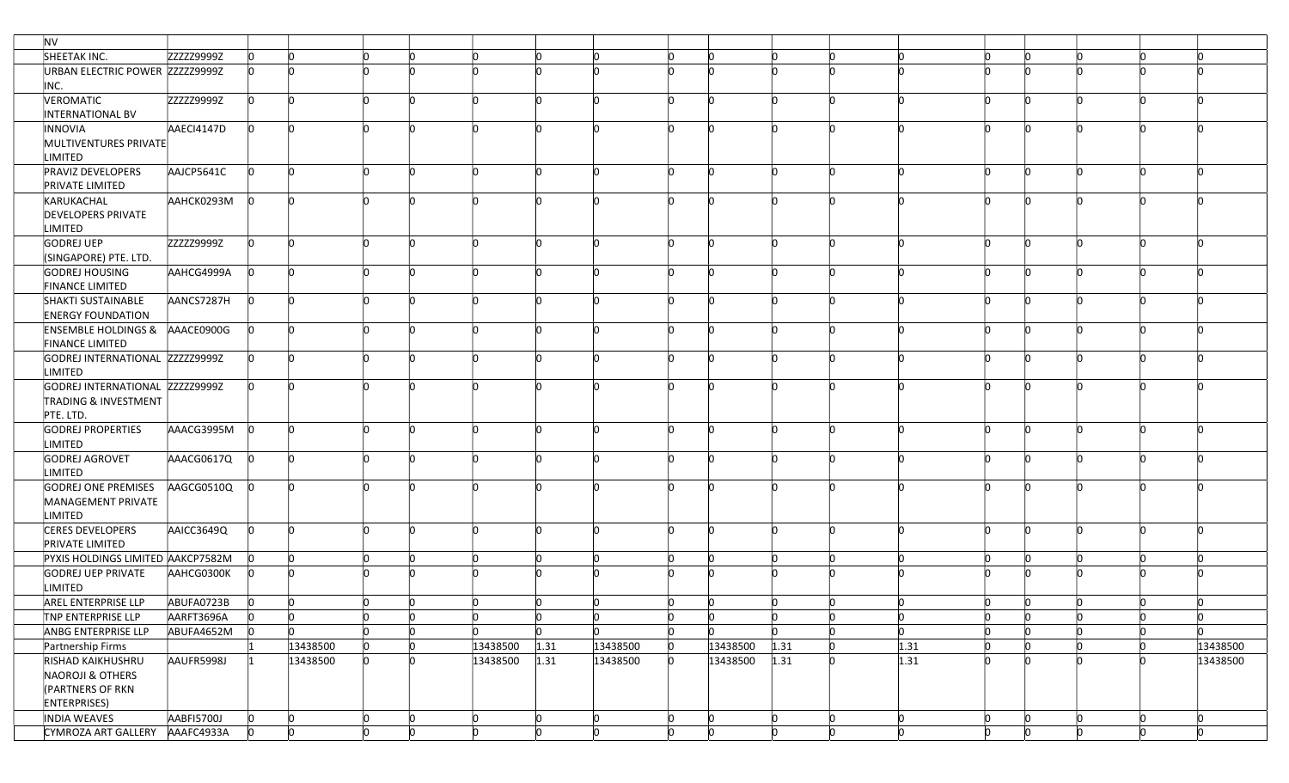| <b>NV</b> |                                                                                   |            |          |          |                           |                           |          |      |          |     |                           |      |   |              |                           |                           |          |
|-----------|-----------------------------------------------------------------------------------|------------|----------|----------|---------------------------|---------------------------|----------|------|----------|-----|---------------------------|------|---|--------------|---------------------------|---------------------------|----------|
|           | SHEETAK INC.                                                                      | ZZZZZ9999Z | n.       | n        | n                         | In                        |          |      |          |     |                           |      |   |              | 'n                        |                           |          |
|           | URBAN ELECTRIC POWER ZZZZZ9999Z                                                   |            | n.       |          | 'n                        | 'n                        |          |      |          |     |                           |      |   |              |                           |                           |          |
| INC.      | VEROMATIC                                                                         | ZZZZZ9999Z | In.      | In.      | h                         | ln.                       |          |      | In.      | n.  |                           |      |   |              | 'n<br>n                   | 'n                        |          |
|           | INTERNATIONAL BV                                                                  |            |          |          |                           |                           |          |      |          |     |                           |      |   |              |                           |                           |          |
|           | INNOVIA<br>MULTIVENTURES PRIVATE<br>LIMITED                                       | AAECI4147D | lo.      | In.      | 'n                        | In.                       |          |      |          | n   |                           |      |   |              |                           | 'n                        |          |
|           | <b>PRAVIZ DEVELOPERS</b><br>PRIVATE LIMITED                                       | AAJCP5641C | ln.      | <b>n</b> | lo.                       | In.                       |          |      | n        | n.  | 'n                        |      |   |              | In.<br>In                 | 'n                        |          |
|           | KARUKACHAL<br><b>DEVELOPERS PRIVATE</b><br>LIMITED                                | AAHCK0293M |          |          |                           |                           |          |      |          |     |                           |      |   |              |                           |                           |          |
|           | GODREJ UEP<br>(SINGAPORE) PTE. LTD.                                               | ZZZZZ9999Z |          |          | h                         |                           |          |      |          |     |                           |      |   |              |                           |                           |          |
|           | GODREJ HOUSING<br><b>FINANCE LIMITED</b>                                          | AAHCG4999A | In.      | n        | In.                       | 'n                        |          |      |          | n.  |                           |      |   |              |                           |                           |          |
|           | SHAKTI SUSTAINABLE<br><b>ENERGY FOUNDATION</b>                                    | AANCS7287H | In.      |          | 'n                        |                           |          |      |          |     |                           |      |   |              |                           |                           |          |
|           | ENSEMBLE HOLDINGS & AAACE0900G<br><b>FINANCE LIMITED</b>                          |            | lo.      | <b>n</b> | 'n                        | 'n                        |          |      |          | n.  |                           |      |   |              | n                         |                           |          |
|           | GODREJ INTERNATIONAL ZZZZZ9999Z<br>LIMITED                                        |            | In.      |          | 'n                        | In                        |          |      |          |     |                           |      |   |              |                           |                           |          |
|           | GODREJ INTERNATIONAL ZZZZZ9999Z<br><b>TRADING &amp; INVESTMENT</b><br>PTE. LTD.   |            | IO.      | <b>n</b> | n                         | In.                       |          |      | n        | n   | n                         |      |   |              | n<br>ľ                    |                           |          |
|           | <b>GODREJ PROPERTIES</b><br><b>LIMITED</b>                                        | AAACG3995M | <b>n</b> | n        | 'n                        | In.                       |          |      |          | n.  |                           |      |   |              |                           |                           |          |
|           | GODREJ AGROVET<br>LIMITED                                                         | AAACG0617Q |          |          | <b>n</b>                  |                           |          |      |          |     |                           |      |   |              |                           |                           |          |
|           | <b>GODREJ ONE PREMISES</b><br>MANAGEMENT PRIVATE<br>LIMITED                       | AAGCG0510Q | 10       | 'n       | <b>n</b>                  | 'n                        |          |      |          |     |                           |      |   |              |                           |                           |          |
|           | <b>CERES DEVELOPERS</b><br>PRIVATE LIMITED                                        | AAICC3649Q | In.      | 'n       | 'n                        | In.                       |          |      |          | n.  |                           |      |   |              |                           |                           |          |
|           | PYXIS HOLDINGS LIMITED AAKCP7582M                                                 |            |          | <b>n</b> | $\mathsf{I}^{\mathsf{O}}$ | $\overline{0}$            |          |      | ln.      | n   | 'n                        |      |   |              | 'n                        | 'n                        |          |
|           | <b>GODREJ UEP PRIVATE</b><br>LIMITED                                              | AAHCG0300K |          |          |                           |                           |          |      |          |     |                           |      |   |              |                           |                           |          |
|           | AREL ENTERPRISE LLP                                                               | ABUFA0723B | ln.      | <b>n</b> | lo.                       | $\mathsf{D}$              | 'n       | n    | In.      | lo. | 'n                        |      |   | 'n           | <b>n</b><br>'n            | In.                       | n        |
|           | TNP ENTERPRISE LLP                                                                | AARFT3696A | IO.      | $\Omega$ | <b>O</b>                  | $\mathsf{I}^{\mathsf{O}}$ | 10       | n    | 10       | n.  | 0                         | 'n   | n | $\mathbf{0}$ | 0<br>n                    | $\mathsf{I}^{\mathsf{O}}$ | 10       |
|           | ANBG ENTERPRISE LLP                                                               | ABUFA4652M |          |          | $\mathsf{I}^{\mathsf{O}}$ | lo.                       |          |      | In.      |     | <b>n</b>                  |      | n | <b>n</b>     | $\mathsf{I}^{\mathsf{O}}$ |                           | n        |
|           | Partnership Firms                                                                 |            |          | 13438500 | lo.                       | Ю                         | 13438500 | 1.31 | 13438500 |     | 13438500                  | 1.31 |   | 1.31         | 'n                        |                           | 13438500 |
|           | RISHAD KAIKHUSHRU<br>NAOROJI & OTHERS<br>(PARTNERS OF RKN<br><b>ENTERPRISES</b> ) | AAUFR5998J |          | 13438500 | <b>n</b>                  | In.                       | 13438500 | 1.31 | 13438500 | n.  | 13438500                  | 1.31 |   | 1.31         | 'n                        |                           | 13438500 |
|           | INDIA WEAVES                                                                      | AABFI5700J | lo.      | In.      | $\mathsf{I}^{\mathsf{O}}$ | O                         | 10       |      | 0        | In. | $\mathsf{I}^{\mathsf{O}}$ | n    | Ю | <b>lo</b>    | O<br>In.                  | 0                         | 0        |
|           | CYMROZA ART GALLERY                                                               | AAAFC4933A | lo.      | h        | lo.                       | $\mathbf{0}$              |          |      | lo.      |     | 'n                        |      |   |              |                           | 'n                        |          |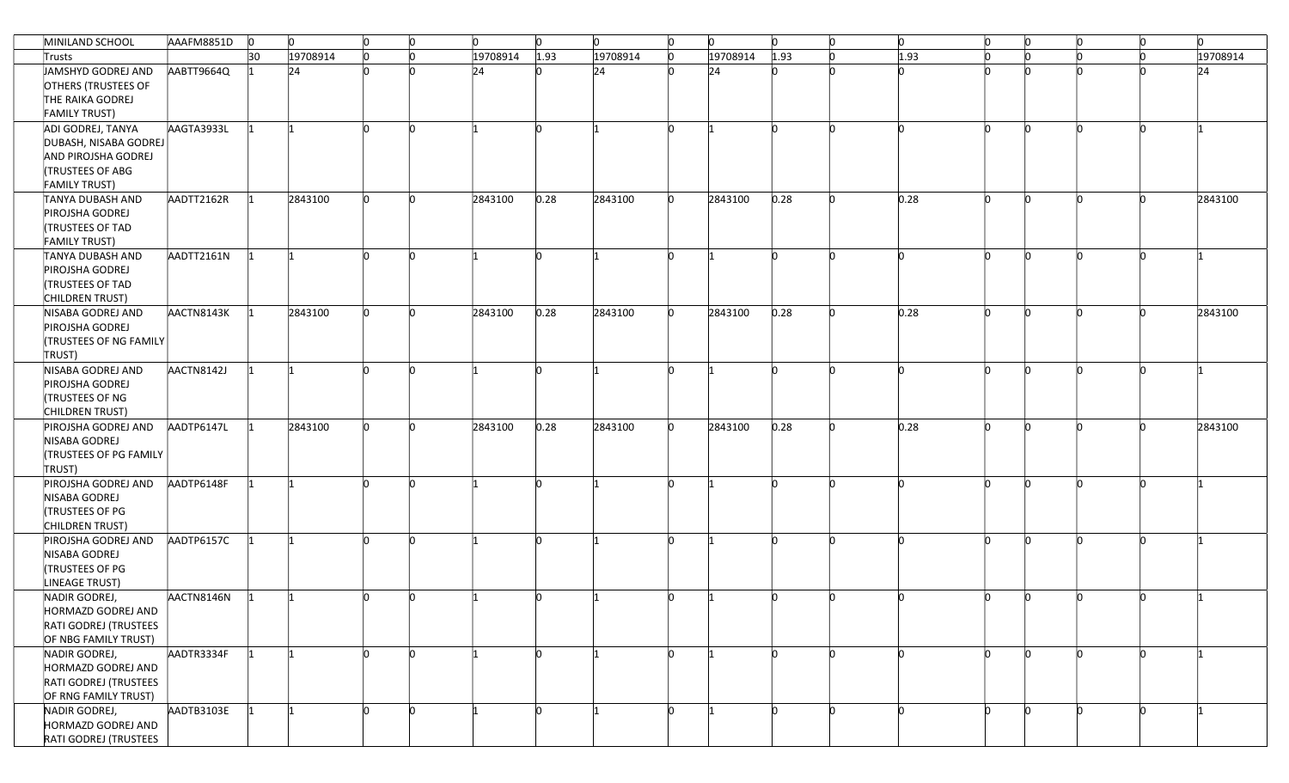| MINILAND SCHOOL               | AAAFM8851D | $\circ$ | $\mathsf{I}^{\mathsf{O}}$ | $\mathsf{I}^{\mathsf{O}}$ | $\mathsf{I}^{\mathsf{O}}$ | $\Omega$ | $\mathsf{I}^{\mathsf{O}}$ | <b>n</b>             | $\mathsf{I}^{\mathsf{O}}$ | $\mathsf{D}$ | $\mathsf{D}$ | $\mathsf{I}^{\mathsf{O}}$ | $\mathsf{D}$ | $\mathsf{I}^{\mathsf{O}}$ | O  | lo. | $\mathsf{D}$ | ln.      |
|-------------------------------|------------|---------|---------------------------|---------------------------|---------------------------|----------|---------------------------|----------------------|---------------------------|--------------|--------------|---------------------------|--------------|---------------------------|----|-----|--------------|----------|
| Trusts                        |            | 30      | 19708914                  | ln.                       |                           | 19708914 | 1.93                      | 19708914<br>$\Omega$ |                           | 19708914     | 1.93         |                           | 1.93         |                           |    |     |              | 19708914 |
| JAMSHYD GODREJ AND            | AABTT9664Q |         | 24                        |                           |                           | 24       |                           | 24<br>'n             |                           | 24           |              |                           |              | 'n                        |    |     |              | 24       |
| OTHERS (TRUSTEES OF           |            |         |                           |                           |                           |          |                           |                      |                           |              |              |                           |              |                           |    |     |              |          |
| THE RAIKA GODREJ              |            |         |                           |                           |                           |          |                           |                      |                           |              |              |                           |              |                           |    |     |              |          |
| <b>FAMILY TRUST)</b>          |            |         |                           |                           |                           |          |                           |                      |                           |              |              |                           |              |                           |    |     |              |          |
| ADI GODREJ, TANYA             | AAGTA3933L |         |                           | 'n                        | <b>n</b>                  |          | 'n                        | 'n                   |                           |              | n            |                           |              | ln.                       | 'n | n   |              |          |
| DUBASH, NISABA GODREJ         |            |         |                           |                           |                           |          |                           |                      |                           |              |              |                           |              |                           |    |     |              |          |
| AND PIROJSHA GODREJ           |            |         |                           |                           |                           |          |                           |                      |                           |              |              |                           |              |                           |    |     |              |          |
| <b>TRUSTEES OF ABG</b>        |            |         |                           |                           |                           |          |                           |                      |                           |              |              |                           |              |                           |    |     |              |          |
| <b>FAMILY TRUST)</b>          |            |         |                           |                           |                           |          |                           |                      |                           |              |              |                           |              |                           |    |     |              |          |
|                               |            |         |                           |                           |                           |          |                           | 'n                   |                           |              |              |                           |              | In.                       |    |     |              |          |
| TANYA DUBASH AND              | AADTT2162R |         | 2843100                   |                           |                           | 2843100  | 0.28                      | 2843100              |                           | 2843100      | 0.28         |                           | 0.28         |                           |    |     |              | 2843100  |
| PIROJSHA GODREJ               |            |         |                           |                           |                           |          |                           |                      |                           |              |              |                           |              |                           |    |     |              |          |
| <b>TRUSTEES OF TAD</b>        |            |         |                           |                           |                           |          |                           |                      |                           |              |              |                           |              |                           |    |     |              |          |
| <b>FAMILY TRUST)</b>          |            |         |                           |                           |                           |          |                           |                      |                           |              |              |                           |              |                           |    |     |              |          |
| TANYA DUBASH AND              | AADTT2161N |         |                           |                           | <b>In</b>                 |          | 'n                        |                      |                           |              | 'n           |                           |              | In.                       |    | 'n  |              |          |
| PIROJSHA GODREJ               |            |         |                           |                           |                           |          |                           |                      |                           |              |              |                           |              |                           |    |     |              |          |
| <b>TRUSTEES OF TAD</b>        |            |         |                           |                           |                           |          |                           |                      |                           |              |              |                           |              |                           |    |     |              |          |
| CHILDREN TRUST)               |            |         |                           |                           |                           |          |                           |                      |                           |              |              |                           |              |                           |    |     |              |          |
| NISABA GODREJ AND             | AACTN8143K |         | 2843100                   | n                         |                           | 2843100  | 0.28                      | 2843100<br>ln.       |                           | 2843100      | 0.28         |                           | 0.28         | n                         | n  | 'n  |              | 2843100  |
| PIROJSHA GODREJ               |            |         |                           |                           |                           |          |                           |                      |                           |              |              |                           |              |                           |    |     |              |          |
| <b>(TRUSTEES OF NG FAMILY</b> |            |         |                           |                           |                           |          |                           |                      |                           |              |              |                           |              |                           |    |     |              |          |
| TRUST)                        |            |         |                           |                           |                           |          |                           |                      |                           |              |              |                           |              |                           |    |     |              |          |
| NISABA GODREJ AND             | AACTN8142J |         |                           |                           |                           |          |                           |                      |                           |              |              |                           |              | In.                       |    |     |              |          |
| PIROJSHA GODREJ               |            |         |                           |                           |                           |          |                           |                      |                           |              |              |                           |              |                           |    |     |              |          |
| <b>TRUSTEES OF NG</b>         |            |         |                           |                           |                           |          |                           |                      |                           |              |              |                           |              |                           |    |     |              |          |
| CHILDREN TRUST)               |            |         |                           |                           |                           |          |                           |                      |                           |              |              |                           |              |                           |    |     |              |          |
| PIROJSHA GODREJ AND           | AADTP6147L |         | 2843100                   |                           |                           | 2843100  | 0.28                      | 2843100<br><b>n</b>  |                           | 2843100      | 0.28         |                           | 0.28         | In.                       |    |     |              | 2843100  |
| NISABA GODREJ                 |            |         |                           |                           |                           |          |                           |                      |                           |              |              |                           |              |                           |    |     |              |          |
| <b>TRUSTEES OF PG FAMILY</b>  |            |         |                           |                           |                           |          |                           |                      |                           |              |              |                           |              |                           |    |     |              |          |
| TRUST)                        |            |         |                           |                           |                           |          |                           |                      |                           |              |              |                           |              |                           |    |     |              |          |
| PIROJSHA GODREJ AND           | AADTP6148F |         |                           |                           |                           |          |                           |                      |                           |              | 'n           |                           |              | In.                       |    |     |              |          |
| NISABA GODREJ                 |            |         |                           |                           |                           |          |                           |                      |                           |              |              |                           |              |                           |    |     |              |          |
| <b>TRUSTEES OF PG</b>         |            |         |                           |                           |                           |          |                           |                      |                           |              |              |                           |              |                           |    |     |              |          |
| CHILDREN TRUST)               |            |         |                           |                           |                           |          |                           |                      |                           |              |              |                           |              |                           |    |     |              |          |
| PIROJSHA GODREJ AND           | AADTP6157C |         |                           |                           |                           |          |                           |                      |                           |              |              |                           |              | 'n                        |    |     |              |          |
| NISABA GODREJ                 |            |         |                           |                           |                           |          |                           |                      |                           |              |              |                           |              |                           |    |     |              |          |
| <b>TRUSTEES OF PG</b>         |            |         |                           |                           |                           |          |                           |                      |                           |              |              |                           |              |                           |    |     |              |          |
| LINEAGE TRUST)                |            |         |                           |                           |                           |          |                           |                      |                           |              |              |                           |              |                           |    |     |              |          |
| NADIR GODREJ,                 | AACTN8146N |         |                           | 'n                        | <b>n</b>                  |          | n                         | 'n                   |                           |              | 'n           | n                         |              | In.                       | 'n | In. |              |          |
| HORMAZD GODREJ AND            |            |         |                           |                           |                           |          |                           |                      |                           |              |              |                           |              |                           |    |     |              |          |
| RATI GODREJ (TRUSTEES         |            |         |                           |                           |                           |          |                           |                      |                           |              |              |                           |              |                           |    |     |              |          |
| OF NBG FAMILY TRUST)          |            |         |                           |                           |                           |          |                           |                      |                           |              |              |                           |              |                           |    |     |              |          |
| NADIR GODREJ,                 | AADTR3334F |         |                           |                           | <b>In</b>                 |          | 'n                        | 'n                   |                           |              |              |                           |              | In.                       | 'n |     |              |          |
| HORMAZD GODREJ AND            |            |         |                           |                           |                           |          |                           |                      |                           |              |              |                           |              |                           |    |     |              |          |
| RATI GODREJ (TRUSTEES         |            |         |                           |                           |                           |          |                           |                      |                           |              |              |                           |              |                           |    |     |              |          |
| OF RNG FAMILY TRUST)          |            |         |                           |                           |                           |          |                           |                      |                           |              |              |                           |              |                           |    |     |              |          |
| NADIR GODREJ,                 | AADTB3103E |         |                           |                           |                           |          |                           |                      |                           |              |              |                           |              | In.                       |    |     |              |          |
| HORMAZD GODREJ AND            |            |         |                           |                           |                           |          |                           |                      |                           |              |              |                           |              |                           |    |     |              |          |
| RATI GODREJ (TRUSTEES         |            |         |                           |                           |                           |          |                           |                      |                           |              |              |                           |              |                           |    |     |              |          |
|                               |            |         |                           |                           |                           |          |                           |                      |                           |              |              |                           |              |                           |    |     |              |          |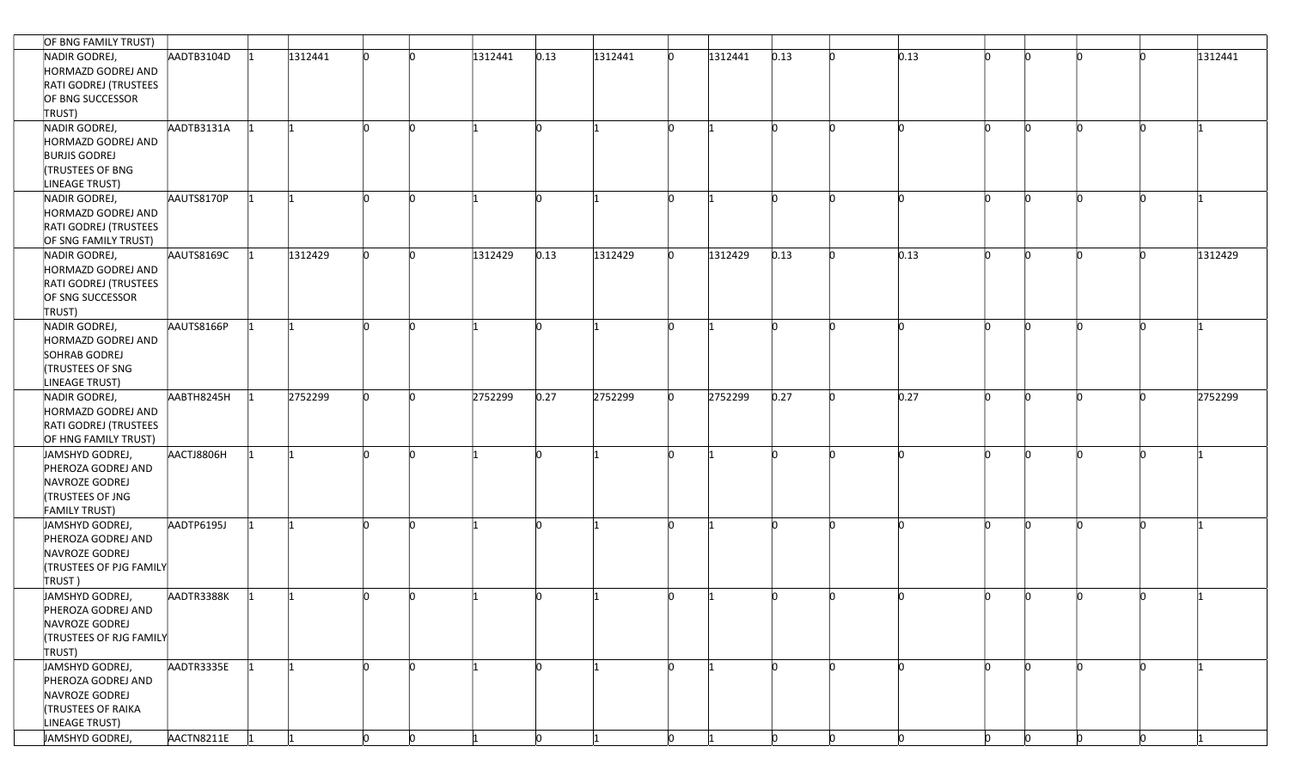| OF BNG FAMILY TRUST)                                                                                    |            |         |   |          |         |      |         |    |         |      |              |      |     |          |  |         |
|---------------------------------------------------------------------------------------------------------|------------|---------|---|----------|---------|------|---------|----|---------|------|--------------|------|-----|----------|--|---------|
| NADIR GODREJ,<br>HORMAZD GODREJ AND<br>RATI GODREJ (TRUSTEES                                            | AADTB3104D | 1312441 |   |          | 1312441 | 0.13 | 1312441 | n  | 1312441 | 0.13 |              | 0.13 | 'n  |          |  | 1312441 |
| OF BNG SUCCESSOR<br>TRUST)                                                                              |            |         |   |          |         |      |         |    |         |      |              |      |     |          |  |         |
| NADIR GODREJ,<br>HORMAZD GODREJ AND<br><b>BURJIS GODREJ</b><br><b>TRUSTEES OF BNG</b><br>LINEAGE TRUST) | AADTB3131A |         |   |          |         |      |         |    |         |      |              |      | n   |          |  |         |
| NADIR GODREJ,<br>HORMAZD GODREJ AND<br>RATI GODREJ (TRUSTEES<br>OF SNG FAMILY TRUST)                    | AAUTS8170P | 11      |   | n        |         |      |         |    |         |      |              |      | 'n  | 'n       |  |         |
| NADIR GODREJ,<br>HORMAZD GODREJ AND<br>RATI GODREJ (TRUSTEES<br>OF SNG SUCCESSOR<br>TRUST)              | AAUTS8169C | 1312429 |   |          | 1312429 | 0.13 | 1312429 | n  | 1312429 | 0.13 |              | 0.13 | In. | n        |  | 1312429 |
| NADIR GODREJ,<br>HORMAZD GODREJ AND<br>SOHRAB GODREJ<br><b>TRUSTEES OF SNG</b><br>LINEAGE TRUST)        | AAUTS8166P |         |   |          |         |      |         |    |         |      |              |      |     |          |  |         |
| NADIR GODREJ,<br>HORMAZD GODREJ AND<br>RATI GODREJ (TRUSTEES<br>OF HNG FAMILY TRUST)                    | AABTH8245H | 2752299 |   |          | 2752299 | 0.27 | 2752299 |    | 2752299 | 0.27 |              | 0.27 | n   |          |  | 2752299 |
| JAMSHYD GODREJ,<br>PHEROZA GODREJ AND<br>NAVROZE GODREJ<br>TRUSTEES OF JNG<br><b>FAMILY TRUST)</b>      | AACTJ8806H | l1      | n | 'n       |         |      |         |    |         |      |              | n    | 'n  | n.       |  |         |
| JAMSHYD GODREJ,<br>PHEROZA GODREJ AND<br>NAVROZE GODREJ<br><b>(TRUSTEES OF PJG FAMILY</b><br>TRUST)     | AADTP6195J | 1       |   | ľn       |         |      |         |    |         |      |              |      | n   | n        |  |         |
| JAMSHYD GODREJ,<br>PHEROZA GODREJ AND<br>NAVROZE GODREJ<br><b>(TRUSTEES OF RJG FAMILY</b><br>TRUST)     | AADTR3388K |         |   |          |         |      |         |    |         |      |              |      |     | n        |  |         |
| JAMSHYD GODREJ,<br>PHEROZA GODREJ AND<br>NAVROZE GODREJ<br><b>TRUSTEES OF RAIKA</b><br>LINEAGE TRUST)   | AADTR3335E | l1      |   | <b>n</b> |         | 'n   |         | 'n |         |      |              |      | In. | <b>n</b> |  |         |
| JAMSHYD GODREJ,                                                                                         | AACTN8211E |         | h | 'n       |         | In.  |         |    |         |      | <sub>n</sub> |      | ln. | n.       |  |         |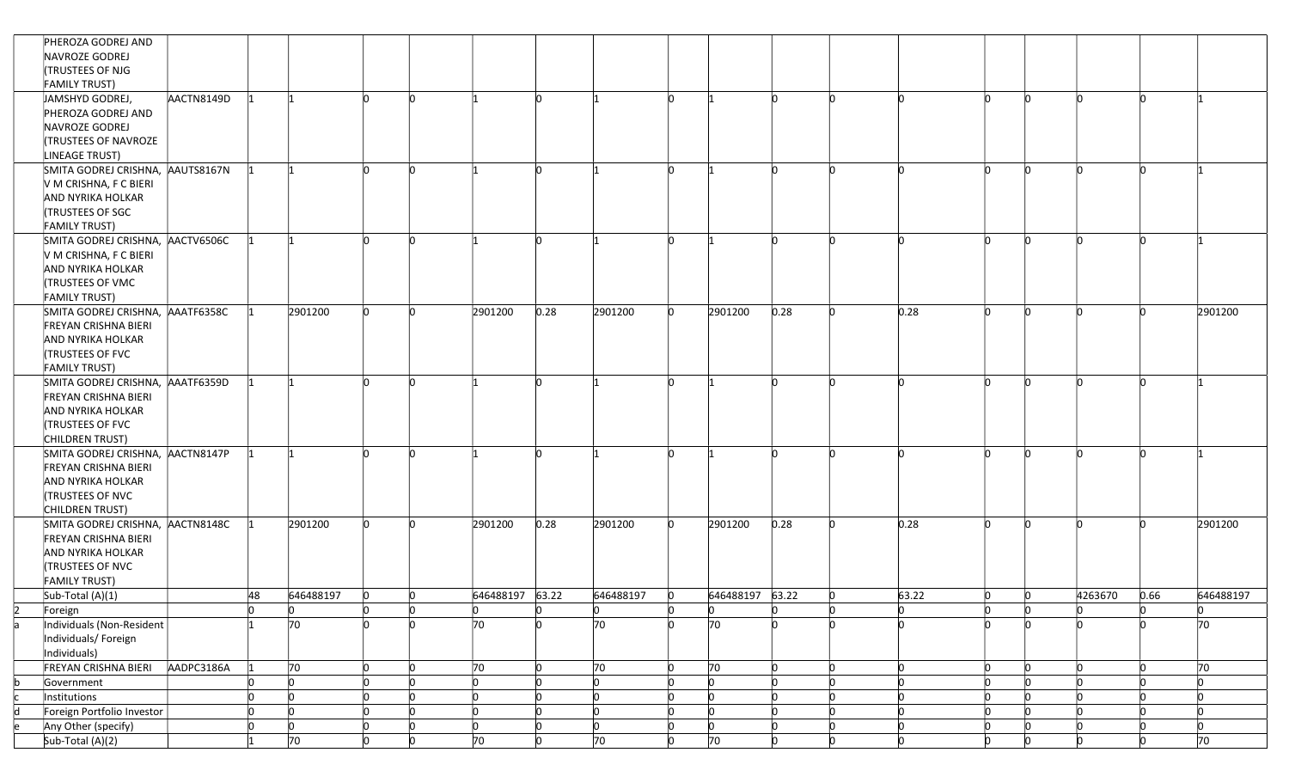|    | PHEROZA GODREJ AND                 |     |           |                           |                           |                 |           |                |                           |          |    |       |                           |    |                |          |                           |
|----|------------------------------------|-----|-----------|---------------------------|---------------------------|-----------------|-----------|----------------|---------------------------|----------|----|-------|---------------------------|----|----------------|----------|---------------------------|
|    | NAVROZE GODREJ                     |     |           |                           |                           |                 |           |                |                           |          |    |       |                           |    |                |          |                           |
|    | <b>TRUSTEES OF NJG</b>             |     |           |                           |                           |                 |           |                |                           |          |    |       |                           |    |                |          |                           |
|    | <b>FAMILY TRUST)</b>               |     |           |                           |                           |                 |           |                |                           |          |    |       |                           |    |                |          |                           |
|    | JAMSHYD GODREJ,<br>AACTN8149D      |     |           |                           | <b>n</b>                  |                 | 'n        |                |                           |          |    |       | n                         | 'n |                |          |                           |
|    | PHEROZA GODREJ AND                 |     |           |                           |                           |                 |           |                |                           |          |    |       |                           |    |                |          |                           |
|    | NAVROZE GODREJ                     |     |           |                           |                           |                 |           |                |                           |          |    |       |                           |    |                |          |                           |
|    | <b>TRUSTEES OF NAVROZE</b>         |     |           |                           |                           |                 |           |                |                           |          |    |       |                           |    |                |          |                           |
|    | LINEAGE TRUST)                     |     |           |                           |                           |                 |           |                |                           |          |    |       |                           |    |                |          |                           |
|    | SMITA GODREJ CRISHNA, AAUTS8167N   |     |           |                           |                           |                 |           |                |                           |          |    |       | In.                       | In |                |          |                           |
|    | V M CRISHNA, F C BIERI             |     |           |                           |                           |                 |           |                |                           |          |    |       |                           |    |                |          |                           |
|    | AND NYRIKA HOLKAR                  |     |           |                           |                           |                 |           |                |                           |          |    |       |                           |    |                |          |                           |
|    | <b>TRUSTEES OF SGC</b>             |     |           |                           |                           |                 |           |                |                           |          |    |       |                           |    |                |          |                           |
|    | <b>FAMILY TRUST)</b>               |     |           |                           |                           |                 |           |                |                           |          |    |       |                           |    |                |          |                           |
|    | SMITA GODREJ CRISHNA, AACTV6506C   |     |           |                           | <b>I</b> n                |                 | <b>In</b> |                |                           | 'n       |    |       | In.                       | 'n |                | 'n       |                           |
|    | V M CRISHNA, F C BIERI             |     |           |                           |                           |                 |           |                |                           |          |    |       |                           |    |                |          |                           |
|    | AND NYRIKA HOLKAR                  |     |           |                           |                           |                 |           |                |                           |          |    |       |                           |    |                |          |                           |
|    | <b>ITRUSTEES OF VMC</b>            |     |           |                           |                           |                 |           |                |                           |          |    |       |                           |    |                |          |                           |
|    | <b>FAMILY TRUST)</b>               |     |           |                           |                           |                 |           |                |                           |          |    |       |                           |    |                |          |                           |
|    | SMITA GODREJ CRISHNA, AAATF6358C   |     | 2901200   |                           |                           | 2901200         | 0.28      | 2901200        | 2901200<br>'n             | 0.28     |    | 0.28  | n                         | 'n |                |          | 2901200                   |
|    | <b>FREYAN CRISHNA BIERI</b>        |     |           |                           |                           |                 |           |                |                           |          |    |       |                           |    |                |          |                           |
|    | AND NYRIKA HOLKAR                  |     |           |                           |                           |                 |           |                |                           |          |    |       |                           |    |                |          |                           |
|    | <b>TRUSTEES OF FVC</b>             |     |           |                           |                           |                 |           |                |                           |          |    |       |                           |    |                |          |                           |
|    | <b>FAMILY TRUST)</b>               |     |           |                           |                           |                 |           |                |                           |          |    |       |                           |    |                |          |                           |
|    | SMITA GODREJ CRISHNA, AAATF6359D   |     |           |                           | <b>n</b>                  |                 | 'n        |                |                           |          |    |       |                           | 'n |                |          |                           |
|    | <b>FREYAN CRISHNA BIERI</b>        |     |           |                           |                           |                 |           |                |                           |          |    |       |                           |    |                |          |                           |
|    | AND NYRIKA HOLKAR                  |     |           |                           |                           |                 |           |                |                           |          |    |       |                           |    |                |          |                           |
|    | <b>TRUSTEES OF FVC</b>             |     |           |                           |                           |                 |           |                |                           |          |    |       |                           |    |                |          |                           |
|    | CHILDREN TRUST)                    |     |           |                           |                           |                 |           |                |                           |          |    |       |                           |    |                |          |                           |
|    | SMITA GODREJ CRISHNA, AACTN8147P   |     |           | In.                       | <b>In</b>                 |                 | 'n        |                | 'n                        |          |    |       | In.                       | 'n |                |          |                           |
|    | FREYAN CRISHNA BIERI               |     |           |                           |                           |                 |           |                |                           |          |    |       |                           |    |                |          |                           |
|    | AND NYRIKA HOLKAR                  |     |           |                           |                           |                 |           |                |                           |          |    |       |                           |    |                |          |                           |
|    | <b>TRUSTEES OF NVC</b>             |     |           |                           |                           |                 |           |                |                           |          |    |       |                           |    |                |          |                           |
|    | CHILDREN TRUST)                    |     |           |                           |                           |                 |           |                |                           |          |    |       |                           |    |                |          |                           |
|    | SMITA GODREJ CRISHNA, AACTN8148C   |     | 2901200   |                           | n                         | 2901200         | 0.28      | 2901200        | 2901200<br>'n             | 0.28     |    | 0.28  | n                         |    |                |          | 2901200                   |
|    | FREYAN CRISHNA BIERI               |     |           |                           |                           |                 |           |                |                           |          |    |       |                           |    |                |          |                           |
|    | AND NYRIKA HOLKAR                  |     |           |                           |                           |                 |           |                |                           |          |    |       |                           |    |                |          |                           |
|    | <b>TRUSTEES OF NVC</b>             |     |           |                           |                           |                 |           |                |                           |          |    |       |                           |    |                |          |                           |
|    | <b>FAMILY TRUST)</b>               |     |           |                           |                           |                 |           |                |                           |          |    |       |                           |    |                |          |                           |
|    | Sub-Total (A)(1)                   | 48  | 646488197 | n                         | 10                        | 646488197 63.22 |           | 646488197      | 646488197 63.22           |          |    | 63.22 |                           | 'n | 4263670        | 0.66     | 646488197                 |
|    | Foreign                            | Ю   | Ю         | Ю                         | 10                        | Ю               | 0         | <b>O</b>       | Ю<br>Ю                    | 0        | n  |       | Ю                         |    | Ю              | 0        | 0                         |
| a  | Individuals (Non-Resident          |     | 70        | 'n                        | <b>n</b>                  | 70              | <b>In</b> | 70             | 70                        |          |    |       |                           |    |                |          | 70                        |
|    | Individuals/Foreign                |     |           |                           |                           |                 |           |                |                           |          |    |       |                           |    |                |          |                           |
|    | Individuals)                       |     |           |                           |                           |                 |           |                |                           |          |    |       |                           |    |                |          |                           |
|    | FREYAN CRISHNA BIERI<br>AADPC3186A |     | 70        |                           | n                         | 70              | h         | 70             | 70                        | <b>n</b> |    |       | n.                        | 'n |                | n.       | 70                        |
|    | Government                         | n   | h         | h                         | $\overline{0}$            |                 | h         | $\overline{0}$ | $\overline{0}$            | 'n       |    |       | In.                       | 'n | 'n             |          | 'n                        |
| c. | Institutions                       | lo. | h         | <b>n</b>                  | $\mathsf{I}^{\mathsf{O}}$ |                 | In        | $\circ$        | $\mathsf{I}^{\mathsf{I}}$ | <b>n</b> |    |       | ln.                       | 'n | ln.            | <b>n</b> | <b>n</b>                  |
| d  | Foreign Portfolio Investor         | n.  | h         | 'n                        | $\overline{0}$            |                 | n         | $\overline{0}$ | $\overline{0}$            | In.      |    |       | In.                       | 'n | n              | n        | <b>n</b>                  |
| e  | Any Other (specify)                | n.  | O.        | $\mathsf{I}^{\mathsf{O}}$ | $\overline{0}$            | In              | In        | $ 0\rangle$    | $\mathsf{I}^{\mathsf{O}}$ | In.      | In |       | $\mathsf{I}^{\mathsf{O}}$ | In | $\overline{0}$ | In.      | $\mathsf{I}^{\mathsf{O}}$ |
|    | Sub-Total (A)(2)                   |     | 70        | n                         | 'n                        | $\overline{70}$ |           | 70             | 70<br>n                   | n        |    |       | h.                        |    | lo.            |          | 70                        |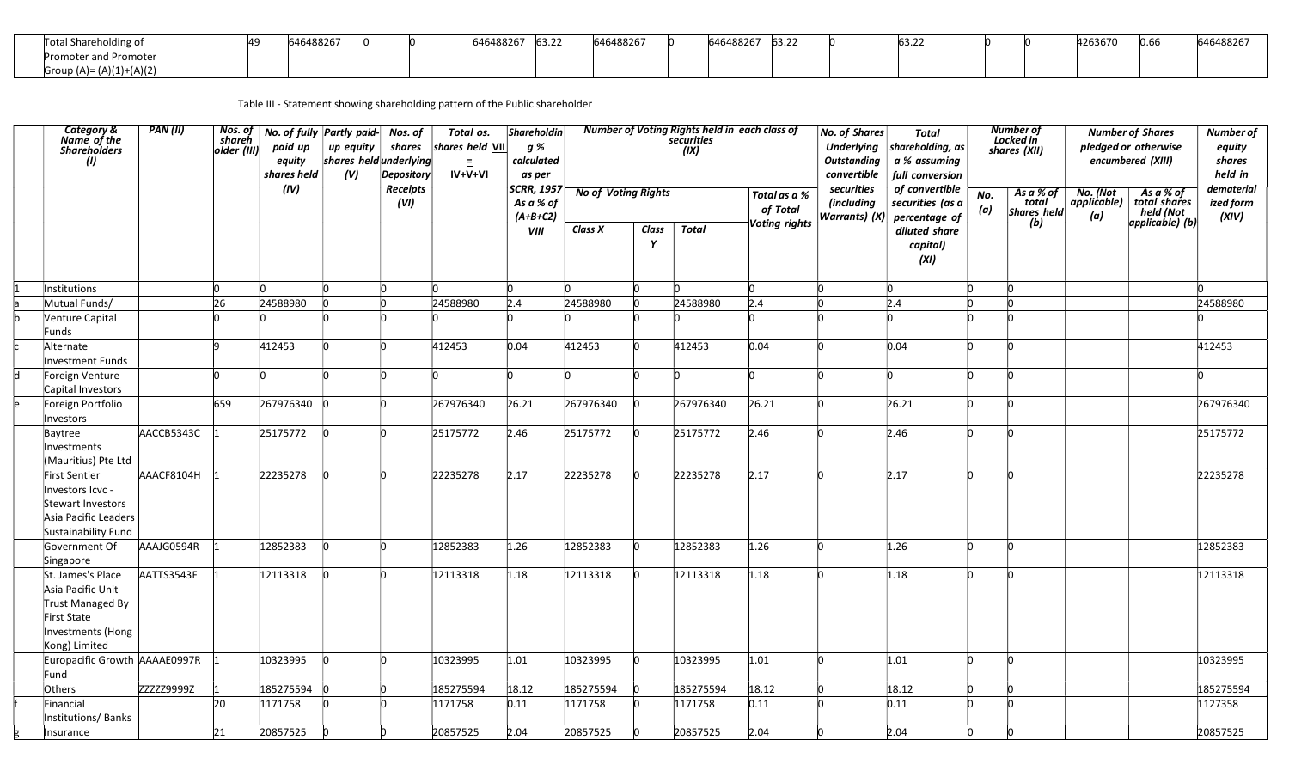| <sup>chareholding</sup> of         | 100227<br>768⊻، |  | 000007<br>ozo / | $\epsilon$ 22<br>. גבטו | 646488267 | 000027<br>AOZD. | $\sim$ 22<br>03.Z. |  |  | 20007<br>420307C | 0.66 |  |
|------------------------------------|-----------------|--|-----------------|-------------------------|-----------|-----------------|--------------------|--|--|------------------|------|--|
| Promoter and Promoter              |                 |  |                 |                         |           |                 |                    |  |  |                  |      |  |
| (A)(2)<br>$\left( \Lambda \right)$ |                 |  |                 |                         |           |                 |                    |  |  |                  |      |  |

Table III - Statement showing shareholding pattern of the Public shareholder

 $\mathbf{I}$ 

| <b>Category &amp;</b><br>Name of the<br>Shareholders<br>(1)                                                     | PAN(II)    | Nos. of<br>shareh<br>older (III) | No. of fully Partly paid-<br>paid up<br>equity<br>shares held<br>(IV) | up equity<br>shares held underlying<br>(V) | Nos. of<br>shares<br><b>Depository</b><br>Receipts<br>(VI) | Total os.<br>shares held VII<br>$\equiv$<br>IV+V+VI | <b>Shareholdin</b><br>g %<br>calculated<br>as per<br><b>SCRR, 1957</b><br>As a % of | <b>No of Voting Rights</b> |            | Number of Voting Rights held in each class of<br>securities<br>(IX) | Total as a %              | <b>No. of Shares</b><br><b>Outstanding</b><br>convertible<br>securities<br>(including | Total<br>Underlying   shareholding, as<br>a % assuming<br>full conversion<br>of convertible<br>securities (as a | No. | <b>Number of</b><br>Locked in<br>shares (XII)<br>As a % of<br>total | No. (Not<br>  applicable) | <b>Number of Shares</b><br>pledged or otherwise<br>encumbered (XIII)<br>As a % of<br>total shares | Number of<br>equity<br>shares<br>held in<br>dematerial<br>ized form |
|-----------------------------------------------------------------------------------------------------------------|------------|----------------------------------|-----------------------------------------------------------------------|--------------------------------------------|------------------------------------------------------------|-----------------------------------------------------|-------------------------------------------------------------------------------------|----------------------------|------------|---------------------------------------------------------------------|---------------------------|---------------------------------------------------------------------------------------|-----------------------------------------------------------------------------------------------------------------|-----|---------------------------------------------------------------------|---------------------------|---------------------------------------------------------------------------------------------------|---------------------------------------------------------------------|
|                                                                                                                 |            |                                  |                                                                       |                                            |                                                            |                                                     | $(A+B+C2)$<br><b>VIII</b>                                                           | Class X                    | Class<br>Y | <b>Total</b>                                                        | of Total<br>Voting rights | <b>Warrants</b> ) (X)                                                                 | percentage of<br>diluted share<br>capital)<br>(XI)                                                              | (a) | <b>Shares held</b><br>(b)                                           | (a)                       | $\begin{bmatrix} \text{total} \\ \text{held} \\ \text{applied} \\ \text{d} \end{bmatrix}$         | (XIV)                                                               |
| Institutions                                                                                                    |            |                                  |                                                                       |                                            |                                                            |                                                     | 'n                                                                                  |                            |            |                                                                     |                           |                                                                                       |                                                                                                                 |     |                                                                     |                           |                                                                                                   |                                                                     |
| Mutual Funds/                                                                                                   |            | 26                               | 24588980                                                              |                                            | 'n                                                         | 24588980                                            | 2.4                                                                                 | 24588980                   |            | 24588980                                                            | 2.4                       |                                                                                       | 2.4                                                                                                             |     |                                                                     |                           |                                                                                                   | 24588980                                                            |
| Venture Capital<br>Funds                                                                                        |            |                                  |                                                                       |                                            |                                                            |                                                     |                                                                                     |                            |            |                                                                     |                           |                                                                                       |                                                                                                                 |     |                                                                     |                           |                                                                                                   |                                                                     |
| Alternate<br>Investment Funds                                                                                   |            |                                  | 412453                                                                |                                            | 'n                                                         | 412453                                              | 0.04                                                                                | 412453                     |            | 412453                                                              | 0.04                      |                                                                                       | 0.04                                                                                                            | h   |                                                                     |                           |                                                                                                   | 412453                                                              |
| Foreign Venture<br>Capital Investors                                                                            |            |                                  |                                                                       |                                            |                                                            |                                                     |                                                                                     |                            |            |                                                                     |                           |                                                                                       |                                                                                                                 |     |                                                                     |                           |                                                                                                   |                                                                     |
| Foreign Portfolio<br>Investors                                                                                  |            | 659                              | 267976340                                                             |                                            | 'n                                                         | 267976340                                           | 26.21                                                                               | 267976340                  |            | 267976340                                                           | 26.21                     |                                                                                       | 26.21                                                                                                           |     |                                                                     |                           |                                                                                                   | 267976340                                                           |
| Baytree<br>Investments<br>(Mauritius) Pte Ltd                                                                   | AACCB5343C |                                  | 25175772                                                              |                                            | 'n                                                         | 25175772                                            | 2.46                                                                                | 25175772                   |            | 25175772                                                            | 2.46                      |                                                                                       | 2.46                                                                                                            |     |                                                                     |                           |                                                                                                   | 25175772                                                            |
| First Sentier<br>Investors Icvc -<br>Stewart Investors<br>Asia Pacific Leaders<br>Sustainability Fund           | AAACF8104H |                                  | 22235278                                                              |                                            | <b>n</b>                                                   | 22235278                                            | 2.17                                                                                | 22235278                   |            | 22235278                                                            | 2.17                      |                                                                                       | 2.17                                                                                                            |     |                                                                     |                           |                                                                                                   | 22235278                                                            |
| Government Of<br>Singapore                                                                                      | AAAJG0594R |                                  | 12852383                                                              |                                            | 'n                                                         | 12852383                                            | 1.26                                                                                | 12852383                   |            | 12852383                                                            | 1.26                      |                                                                                       | 1.26                                                                                                            | h   |                                                                     |                           |                                                                                                   | 12852383                                                            |
| St. James's Place<br>Asia Pacific Unit<br>Trust Managed By<br>First State<br>Investments (Hong<br>Kong) Limited | AATTS3543F |                                  | 12113318                                                              |                                            | 'n                                                         | 12113318                                            | 1.18                                                                                | 12113318                   |            | 12113318                                                            | 1.18                      |                                                                                       | 1.18                                                                                                            | h   |                                                                     |                           |                                                                                                   | 12113318                                                            |
| Europacific Growth AAAAE0997R<br>Fund                                                                           |            |                                  | 10323995                                                              |                                            | <b>n</b>                                                   | 10323995                                            | 1.01                                                                                | 10323995                   |            | 10323995                                                            | 1.01                      |                                                                                       | 1.01                                                                                                            |     |                                                                     |                           |                                                                                                   | 10323995                                                            |
| Others                                                                                                          | ZZZZZ9999Z |                                  | 185275594                                                             | <b>n</b>                                   | $\mathsf{I}^{\mathsf{O}}$                                  | 185275594                                           | 18.12                                                                               | 185275594                  |            | 185275594                                                           | 18.12                     |                                                                                       | 18.12                                                                                                           | h   | h                                                                   |                           |                                                                                                   | 185275594                                                           |
| Financial<br>Institutions/Banks                                                                                 |            | 20                               | 1171758                                                               |                                            | 'n                                                         | 1171758                                             | 0.11                                                                                | 1171758                    |            | 1171758                                                             | 0.11                      |                                                                                       | 0.11                                                                                                            |     |                                                                     |                           |                                                                                                   | 1127358                                                             |
| Insurance                                                                                                       |            | 21                               | 20857525                                                              |                                            |                                                            | 20857525                                            | 2.04                                                                                | 20857525                   |            | 20857525                                                            | 2.04                      |                                                                                       | 2.04                                                                                                            |     |                                                                     |                           |                                                                                                   | 20857525                                                            |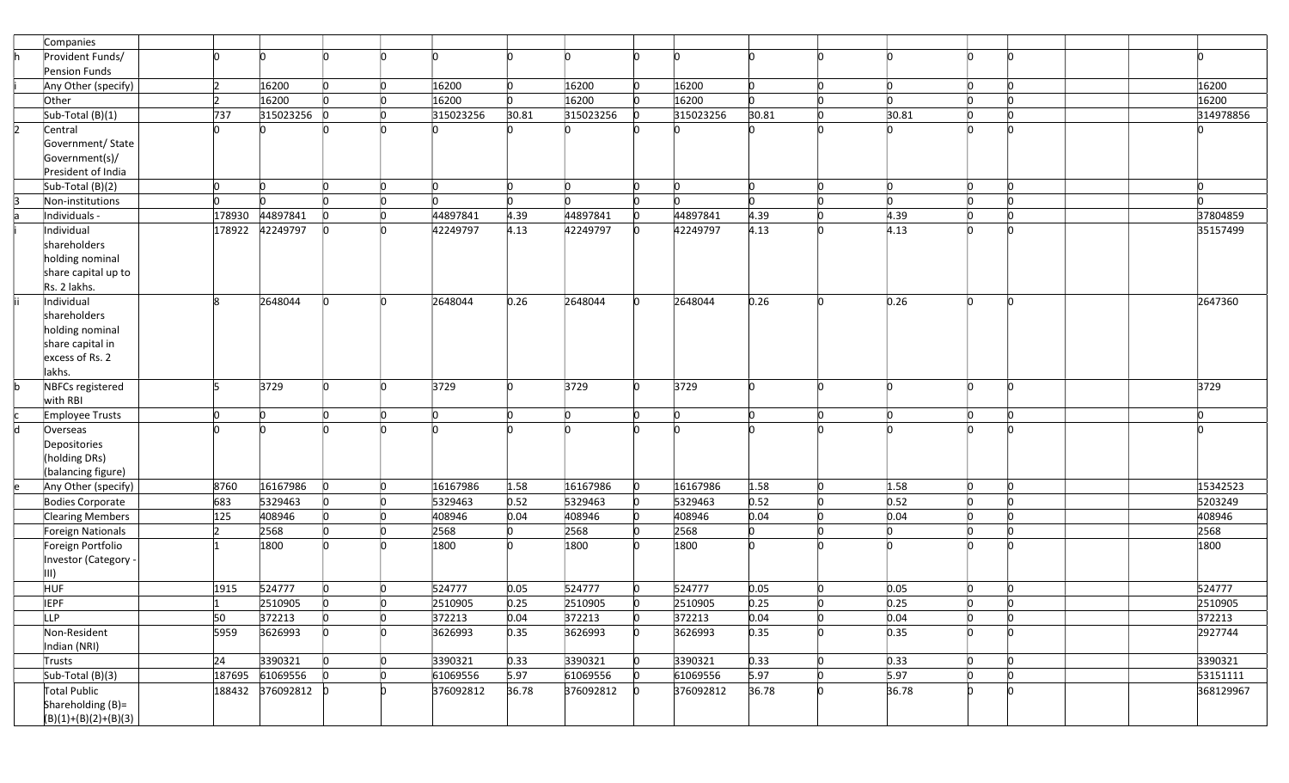| Companies                           |        |           |                           |           |          |           |          |           |              |    |            |     |                           |           |
|-------------------------------------|--------|-----------|---------------------------|-----------|----------|-----------|----------|-----------|--------------|----|------------|-----|---------------------------|-----------|
| Provident Funds/                    |        |           |                           |           |          |           |          |           |              |    |            |     |                           |           |
| Pension Funds                       |        |           |                           |           |          |           |          |           |              |    |            |     |                           |           |
| Any Other (specify)                 |        | 16200     | 'n                        | 16200     | In.      | 16200     | n        | 16200     | n.           | 'n | <b>n</b>   | ln. | <b>n</b>                  | 16200     |
| Other                               |        | 16200     |                           | 16200     | 'n       | 16200     |          | 16200     | n.           |    | 'n         | n.  |                           | 16200     |
| $Sub-Total(B)(1)$                   | 737    | 315023256 |                           | 315023256 | 30.81    | 315023256 |          | 315023256 | 30.81        |    | 30.81      | n   |                           | 314978856 |
| Central                             |        |           |                           |           |          |           |          |           |              |    |            |     |                           |           |
| Government/ State                   |        |           |                           |           |          |           |          |           |              |    |            |     |                           |           |
| Government(s)/                      |        |           |                           |           |          |           |          |           |              |    |            |     |                           |           |
| President of India                  |        |           |                           |           |          |           |          |           |              |    |            |     |                           |           |
| Sub-Total (B)(2)                    | ln.    |           |                           | 'n        | <b>n</b> |           |          | 'n        | n.           |    | <b>l</b> o | lo. | $\Omega$                  | In        |
| Non-institutions                    | n      |           |                           |           | 'n       |           |          | n         | n.           |    | 'n         | ln. | 'n                        | In        |
| Individuals -                       | 178930 | 44897841  | 'n                        | 44897841  | 4.39     | 44897841  | <b>n</b> | 44897841  | 4.39         |    | 4.39       | h   |                           | 37804859  |
| Individual                          | 178922 | 42249797  |                           | 42249797  | 4.13     | 42249797  | l0       | 42249797  | 4.13         |    | 4.13       |     |                           | 35157499  |
| shareholders                        |        |           |                           |           |          |           |          |           |              |    |            |     |                           |           |
| holding nominal                     |        |           |                           |           |          |           |          |           |              |    |            |     |                           |           |
| share capital up to                 |        |           |                           |           |          |           |          |           |              |    |            |     |                           |           |
| Rs. 2 lakhs.                        |        |           |                           |           |          |           |          |           |              |    |            |     |                           |           |
| Individual                          |        | 2648044   |                           | 2648044   | 0.26     | 2648044   |          | 2648044   | 0.26         |    | 0.26       |     | 'n                        | 2647360   |
| shareholders                        |        |           |                           |           |          |           |          |           |              |    |            |     |                           |           |
| holding nominal                     |        |           |                           |           |          |           |          |           |              |    |            |     |                           |           |
| share capital in                    |        |           |                           |           |          |           |          |           |              |    |            |     |                           |           |
| excess of Rs. 2                     |        |           |                           |           |          |           |          |           |              |    |            |     |                           |           |
| lakhs.                              |        |           |                           |           |          |           |          |           |              |    |            |     |                           |           |
| NBFCs registered                    |        | 3729      |                           | 3729      |          | 3729      |          | 3729      | n.           |    | 'n         | n   | <b>In</b>                 | 3729      |
| with RBI                            |        |           |                           |           |          |           |          |           | n.           |    |            | n.  |                           |           |
| Employee Trusts                     |        |           |                           |           |          |           |          |           |              |    | n          |     |                           |           |
| Overseas                            |        |           |                           |           |          |           |          |           |              |    |            |     |                           |           |
| Depositories                        |        |           |                           |           |          |           |          |           |              |    |            |     |                           |           |
| (holding DRs)<br>(balancing figure) |        |           |                           |           |          |           |          |           |              |    |            |     |                           |           |
| Any Other (specify)                 | 8760   | 16167986  |                           | 16167986  | 1.58     | 16167986  |          | 16167986  | 1.58         |    | 1.58       |     | 'n                        | 15342523  |
| Bodies Corporate                    | 683    | 5329463   |                           | 5329463   | 0.52     | 5329463   |          | 5329463   | 0.52         |    | 0.52       |     |                           | 5203249   |
| Clearing Members                    | 125    | 408946    |                           | 408946    | 0.04     | 408946    |          | 408946    | 0.04         |    | 0.04       |     |                           | 408946    |
| Foreign Nationals                   |        | 2568      |                           | 2568      | In.      | 2568      |          | 2568      | $\mathsf{D}$ |    | h          | h   |                           | 2568      |
| Foreign Portfolio                   |        | 1800      |                           | 1800      |          | 1800      |          | 1800      | n.           |    |            |     |                           | 1800      |
| Investor (Category                  |        |           |                           |           |          |           |          |           |              |    |            |     |                           |           |
| $\parallel$ III)                    |        |           |                           |           |          |           |          |           |              |    |            |     |                           |           |
| <b>HUF</b>                          | 1915   | 524777    |                           | 524777    | 0.05     | 524777    |          | 524777    | 0.05         |    | 0.05       |     | 'n                        | 524777    |
| <b>IEPF</b>                         |        | 2510905   | <b>n</b>                  | 2510905   | 0.25     | 2510905   | n        | 2510905   | 0.25         |    | 0.25       | In. |                           | 2510905   |
| LLP                                 | 50     | 372213    | n                         | 372213    | 0.04     | 372213    | n        | 372213    | 0.04         |    | 0.04       | n.  | $\mathsf{I}^{\mathsf{O}}$ | 372213    |
| Non-Resident                        | 5959   | 3626993   |                           | 3626993   | 0.35     | 3626993   |          | 3626993   | 0.35         |    | 0.35       |     |                           | 2927744   |
| Indian (NRI)                        |        |           |                           |           |          |           |          |           |              |    |            |     |                           |           |
| Trusts                              | 24     | 3390321   | $\mathsf{I}_{\mathsf{O}}$ | 3390321   | 0.33     | 3390321   | n        | 3390321   | 0.33         | 'n | 0.33       | n.  | <b>n</b>                  | 3390321   |
| Sub-Total (B)(3)                    | 187695 | 61069556  |                           | 61069556  | 5.97     | 61069556  | In       | 61069556  | 5.97         |    | 5.97       | n.  | h                         | 53151111  |
| <b>Total Public</b>                 | 188432 | 376092812 |                           | 376092812 | 36.78    | 376092812 |          | 376092812 | 36.78        |    | 36.78      |     |                           | 368129967 |
| Shareholding (B)=                   |        |           |                           |           |          |           |          |           |              |    |            |     |                           |           |
| $(B)(1)+(B)(2)+(B)(3)$              |        |           |                           |           |          |           |          |           |              |    |            |     |                           |           |
|                                     |        |           |                           |           |          |           |          |           |              |    |            |     |                           |           |